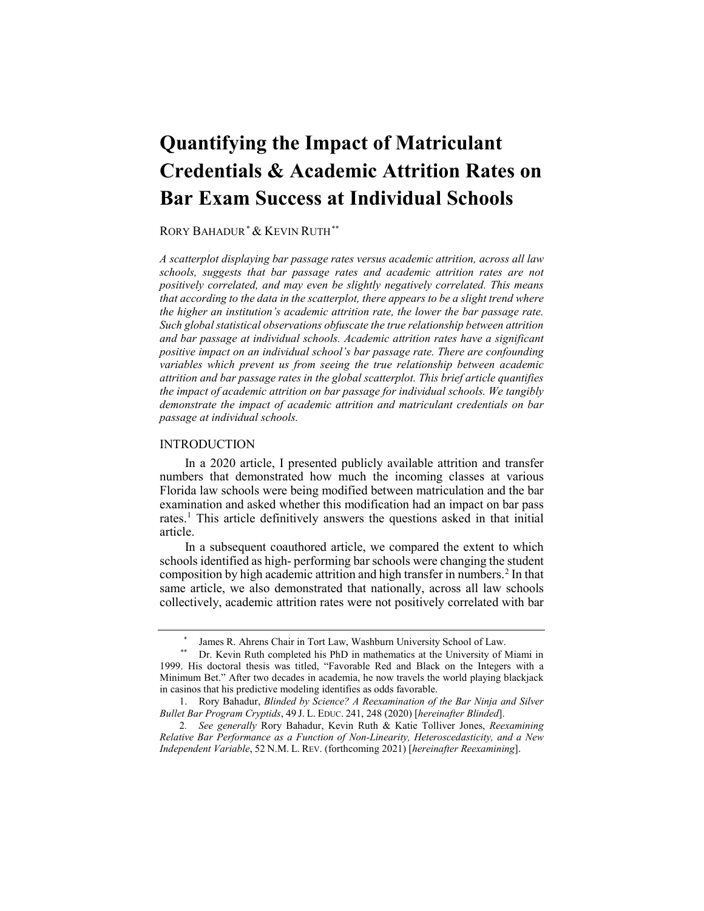# **Quantifying the Impact of Matriculant Credentials & Academic Attrition Rates on Bar Exam Success at Individual Schools**

#### RORY BAHADUR*[\\*](#page-0-0)* & KEVIN RUTH*[\\*\\*](#page-0-1)*

 *passage at individual schools. A scatterplot displaying bar passage rates versus academic attrition, across all law schools, suggests that bar passage rates and academic attrition rates are not positively correlated, and may even be slightly negatively correlated. This means that according to the data in the scatterplot, there appears to be a slight trend where the higher an institution's academic attrition rate, the lower the bar passage rate. Such global statistical observations obfuscate the true relationship between attrition and bar passage at individual schools. Academic attrition rates have a significant positive impact on an individual school's bar passage rate. There are confounding variables which prevent us from seeing the true relationship between academic attrition and bar passage rates in the global scatterplot. This brief article quantifies the impact of academic attrition on bar passage for individual schools. We tangibly demonstrate the impact of academic attrition and matriculant credentials on bar* 

#### **INTRODUCTION**

rates.<sup>[1](#page-0-2)</sup> This article definitively answers the questions asked in that initial In a 2020 article, I presented publicly available attrition and transfer numbers that demonstrated how much the incoming classes at various Florida law schools were being modified between matriculation and the bar examination and asked whether this modification had an impact on bar pass article.

 schools identified as high- performing bar schools were changing the student composition by high academic attrition and high transfer in numbers.<sup>2</sup> In that same article, we also demonstrated that nationally, across all law schools In a subsequent coauthored article, we compared the extent to which collectively, academic attrition rates were not positively correlated with bar

<span id="page-0-4"></span>

<span id="page-0-1"></span><span id="page-0-0"></span> in casinos that his predictive modeling identifies as odds favorable. \* James R. Ahrens Chair in Tort Law, Washburn University School of Law. \*\* Dr. Kevin Ruth completed his PhD in mathematics at the University of Miami in 1999. His doctoral thesis was titled, "Favorable Red and Black on the Integers with a Minimum Bet." After two decades in academia, he now travels the world playing blackjack

<span id="page-0-2"></span> *Bullet Bar Program Cryptids*, 49 J. L. EDUC. 241, 248 (2020) [*hereinafter Blinded*]. 1. Rory Bahadur, *Blinded by Science? A Reexamination of the Bar Ninja and Silver* 

<span id="page-0-3"></span> *Relative Bar Performance as a Function of Non-Linearity, Heteroscedasticity, and a New Independent Variable*, 52 N.M. L. REV. (forthcoming 2021) [*hereinafter Reexamining*]. 2*. See generally* Rory Bahadur, Kevin Ruth & Katie Tolliver Jones, *Reexamining*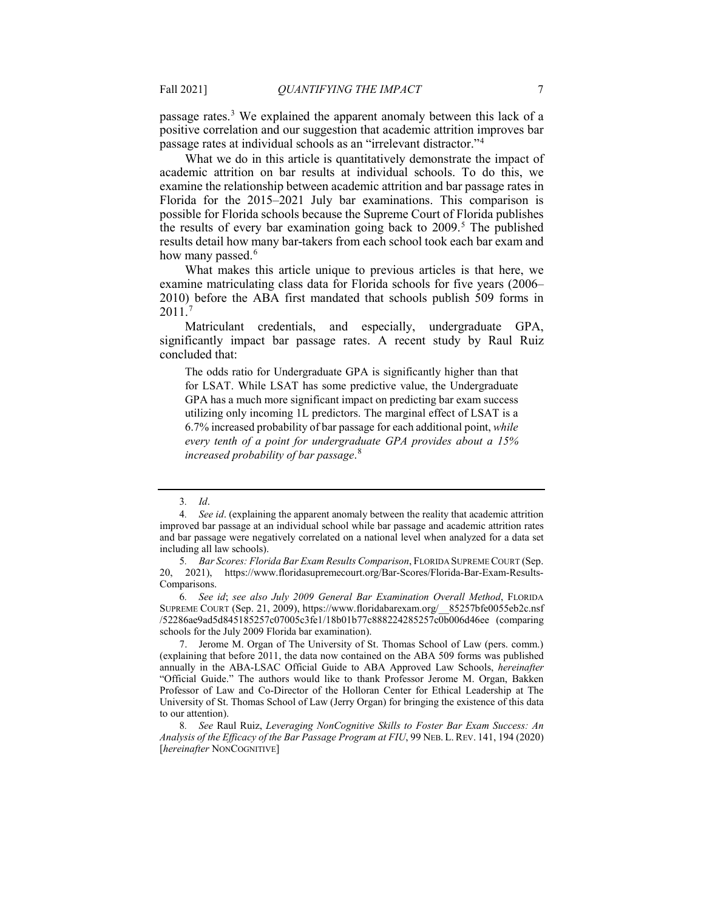passage rates.<sup>[3](#page-1-0)</sup> We explained the apparent anomaly between this lack of a positive correlation and our suggestion that academic attrition improves bar passage rates at individual schools as an "irrelevant distractor."[4](#page-1-1)

 academic attrition on bar results at individual schools. To do this, we examine the relationship between academic attrition and bar passage rates in Florida for the 2015–2021 July bar examinations. This comparison is results detail how many bar-takers from each school took each bar exam and how many passed.<sup>6</sup> What we do in this article is quantitatively demonstrate the impact of possible for Florida schools because the Supreme Court of Florida publishes the results of every bar examination going back to  $2009$ .<sup>5</sup> The published

What makes this article unique to previous articles is that here, we examine matriculating class data for Florida schools for five years (2006– 2010) before the ABA first mandated that schools publish 509 forms in 2011.[7](#page-1-4) 

Matriculant credentials, and especially, undergraduate GPA, significantly impact bar passage rates. A recent study by Raul Ruiz concluded that:

 GPA has a much more significant impact on predicting bar exam success 6.7% increased probability of bar passage for each additional point, *while*  The odds ratio for Undergraduate GPA is significantly higher than that for LSAT. While LSAT has some predictive value, the Undergraduate utilizing only incoming 1L predictors. The marginal effect of LSAT is a *every tenth of a point for undergraduate GPA provides about a 15% increased probability of bar passage*. [8](#page-1-5) 

<span id="page-1-3"></span>6*. See id*; *see also July 2009 General Bar Examination Overall Method*, FLORIDA SUPREME COURT (Sep. 21, 2009), [https://www.floridabarexam.org/\\_\\_85257bfe0055eb2c.nsf](https://www.floridabarexam.org/__85257bfe0055eb2c.nsf) /52286ae9ad5d845185257c07005c3fe1/18b01b77c888224285257c0b006d46ee (comparing schools for the July 2009 Florida bar examination).

<span id="page-1-4"></span> (explaining that before 2011, the data now contained on the ABA 509 forms was published 7. Jerome M. Organ of The University of St. Thomas School of Law (pers. comm.) annually in the ABA-LSAC Official Guide to ABA Approved Law Schools, *hereinafter*  "Official Guide." The authors would like to thank Professor Jerome M. Organ, Bakken Professor of Law and Co-Director of the Holloran Center for Ethical Leadership at The University of St. Thomas School of Law (Jerry Organ) for bringing the existence of this data to our attention).

<sup>3</sup>*. Id*.

<span id="page-1-1"></span><span id="page-1-0"></span> and bar passage were negatively correlated on a national level when analyzed for a data set 4*. See id*. (explaining the apparent anomaly between the reality that academic attrition improved bar passage at an individual school while bar passage and academic attrition rates including all law schools).

<span id="page-1-2"></span><sup>5</sup>*. Bar Scores: Florida Bar Exam Results Comparison*, FLORIDA SUPREME COURT (Sep. 20, 2021), [https://www.floridasupremecourt.org/Bar-Scores/Florida-Bar-Exam-Results-](https://www.floridasupremecourt.org/Bar-Scores/Florida-Bar-Exam-Results)Comparisons.

<span id="page-1-5"></span> *Analysis of the Efficacy of the Bar Passage Program at FIU*, 99 NEB. L. REV. 141, 194 (2020) 8*. See* Raul Ruiz, *Leveraging NonCognitive Skills to Foster Bar Exam Success: An*  [*hereinafter* NONCOGNITIVE]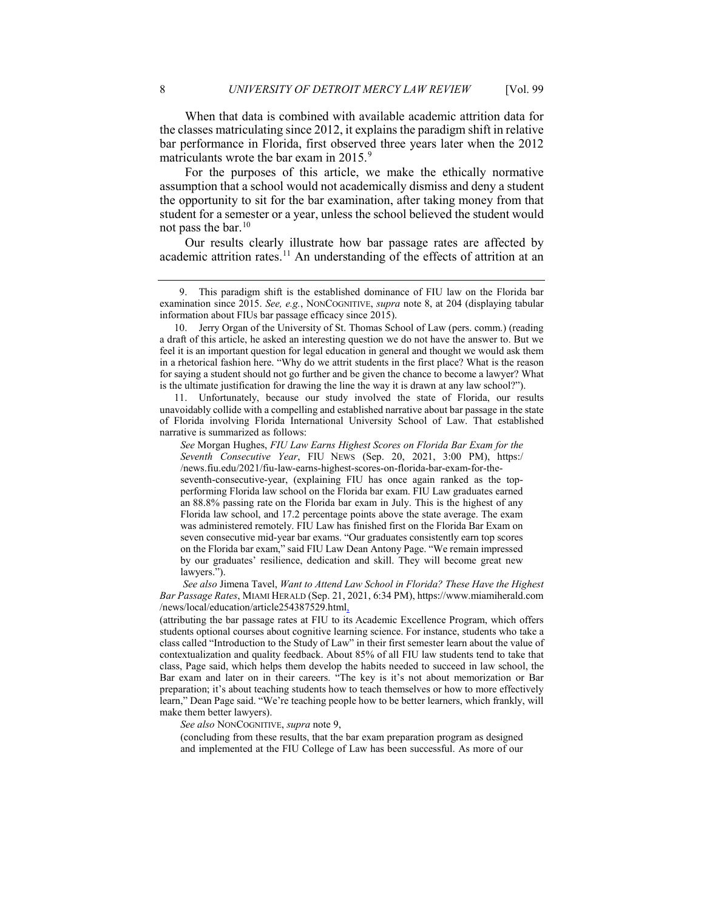When that data is combined with available academic attrition data for the classes matriculating since 2012, it explains the paradigm shift in relative bar performance in Florida, first observed three years later when the 2012 matriculants wrote the bar exam in 2015.<sup>9</sup>

<span id="page-2-0"></span> the opportunity to sit for the bar examination, after taking money from that not pass the bar. $10$ For the purposes of this article, we make the ethically normative assumption that a school would not academically dismiss and deny a student student for a semester or a year, unless the school believed the student would

 Our results clearly illustrate how bar passage rates are affected by academic attrition [rates.](https://rates.11)<sup>11</sup> An understanding of the effects of attrition at an

<span id="page-2-3"></span> unavoidably collide with a compelling and established narrative about bar passage in the state 11. Unfortunately, because our study involved the state of Florida, our results of Florida involving Florida International University School of Law. That established narrative is summarized as follows:

/news/local/education/article254387529.html *See also* Jimena Tavel, *Want to Attend Law School in Florida? These Have the Highest Bar Passage Rates*, MIAMI HERALD (Sep. 21, 2021, 6:34 PM),<https://www.miamiherald.com>

 students optional courses about cognitive learning science. For instance, students who take a class, Page said, which helps them develop the habits needed to succeed in law school, the learn," Dean Page said. "We're teaching people how to be better learners, which frankly, will (attributing the bar passage rates at FIU to its Academic Excellence Program, which offers class called "Introduction to the Study of Law" in their first semester learn about the value of contextualization and quality feedback. About 85% of all FIU law students tend to take that Bar exam and later on in their careers. "The key is it's not about memorization or Bar preparation; it's about teaching students how to teach themselves or how to more effectively make them better lawyers).

*See also* NONCOGNITIVE, *supra* note [9,](#page-2-0) 

 and implemented at the FIU College of Law has been successful. As more of our (concluding from these results, that the bar exam preparation program as designed

<span id="page-2-1"></span><sup>9.</sup> This paradigm shift is the established dominance of FIU law on the Florida bar examination since 2015. *See, e.g.*, NONCOGNITIVE, *supra* note 8, at 204 (displaying tabular information about FIUs bar passage efficacy since 2015).

<span id="page-2-2"></span><sup>10.</sup> Jerry Organ of the University of St. Thomas School of Law (pers. comm.) (reading a draft of this article, he asked an interesting question we do not have the answer to. But we feel it is an important question for legal education in general and thought we would ask them in a rhetorical fashion here. "Why do we attrit students in the first place? What is the reason for saying a student should not go further and be given the chance to become a lawyer? What is the ultimate justification for drawing the line the way it is drawn at any law school?").

 *Seventh Consecutive Year*, FIU NEWS (Sep. 20, 2021, 3:00 PM), https:/ was administered remotely. FIU Law has finished first on the Florida Bar Exam on *See* Morgan Hughes, *FIU Law Earns Highest Scores on Florida Bar Exam for the*  [/news.fiu.edu/2021/fiu-law-earns-highest-scores-on-florida-bar-exam-for-the](https://news.fiu.edu/2021/fiu-law-earns-highest-scores-on-florida-bar-exam-for-the)seventh-consecutive-year, (explaining FIU has once again ranked as the topperforming Florida law school on the Florida bar exam. FIU Law graduates earned an 88.8% passing rate on the Florida bar exam in July. This is the highest of any Florida law school, and 17.2 percentage points above the state average. The exam seven consecutive mid-year bar exams. "Our graduates consistently earn top scores on the Florida bar exam," said FIU Law Dean Antony Page. "We remain impressed by our graduates' resilience, dedication and skill. They will become great new lawyers.").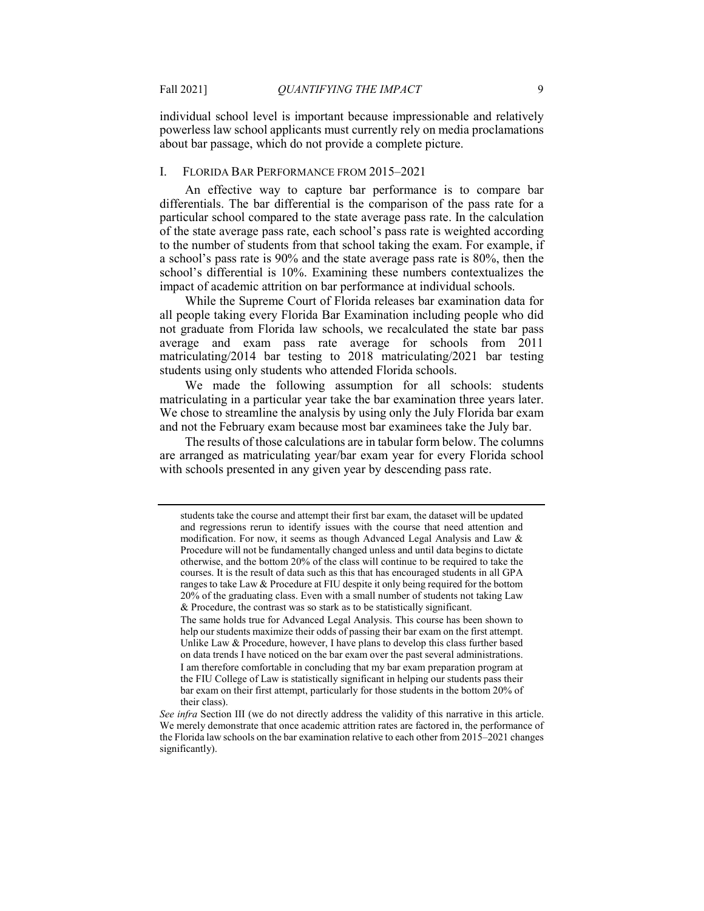about bar passage, which do not provide a complete picture. individual school level is important because impressionable and relatively powerless law school applicants must currently rely on media proclamations

#### I. FLORIDA BAR PERFORMANCE FROM 2015–2021

 of the state average pass rate, each school's pass rate is weighted according to the number of students from that school taking the exam. For example, if a school's pass rate is 90% and the state average pass rate is 80%, then the An effective way to capture bar performance is to compare bar differentials. The bar differential is the comparison of the pass rate for a particular school compared to the state average pass rate. In the calculation school's differential is 10%. Examining these numbers contextualizes the impact of academic attrition on bar performance at individual schools.

 While the Supreme Court of Florida releases bar examination data for matriculating/2014 bar testing to 2018 matriculating/2021 bar testing students using only students who attended Florida schools. all people taking every Florida Bar Examination including people who did not graduate from Florida law schools, we recalculated the state bar pass average and exam pass rate average for schools from 2011

 We made the following assumption for all schools: students and not the February exam because most bar examinees take the July bar. The results of those calculations are in tabular form below. The columns matriculating in a particular year take the bar examination three years later. We chose to streamline the analysis by using only the July Florida bar exam

are arranged as matriculating year/bar exam year for every Florida school with schools presented in any given year by descending pass rate.

 modification. For now, it seems as though Advanced Legal Analysis and Law & students take the course and attempt their first bar exam, the dataset will be updated and regressions rerun to identify issues with the course that need attention and Procedure will not be fundamentally changed unless and until data begins to dictate otherwise, and the bottom 20% of the class will continue to be required to take the courses. It is the result of data such as this that has encouraged students in all GPA ranges to take Law & Procedure at FIU despite it only being required for the bottom 20% of the graduating class. Even with a small number of students not taking Law & Procedure, the contrast was so stark as to be statistically significant.

 Unlike Law & Procedure, however, I have plans to develop this class further based I am therefore comfortable in concluding that my bar exam preparation program at the FIU College of Law is statistically significant in helping our students pass their bar exam on their first attempt, particularly for those students in the bottom 20% of The same holds true for Advanced Legal Analysis. This course has been shown to help our students maximize their odds of passing their bar exam on the first attempt. on data trends I have noticed on the bar exam over the past several administrations. their class).

*See infra* Section III (we do not directly address the validity of this narrative in this article. We merely demonstrate that once academic attrition rates are factored in, the performance of the Florida law schools on the bar examination relative to each other from 2015–2021 changes significantly).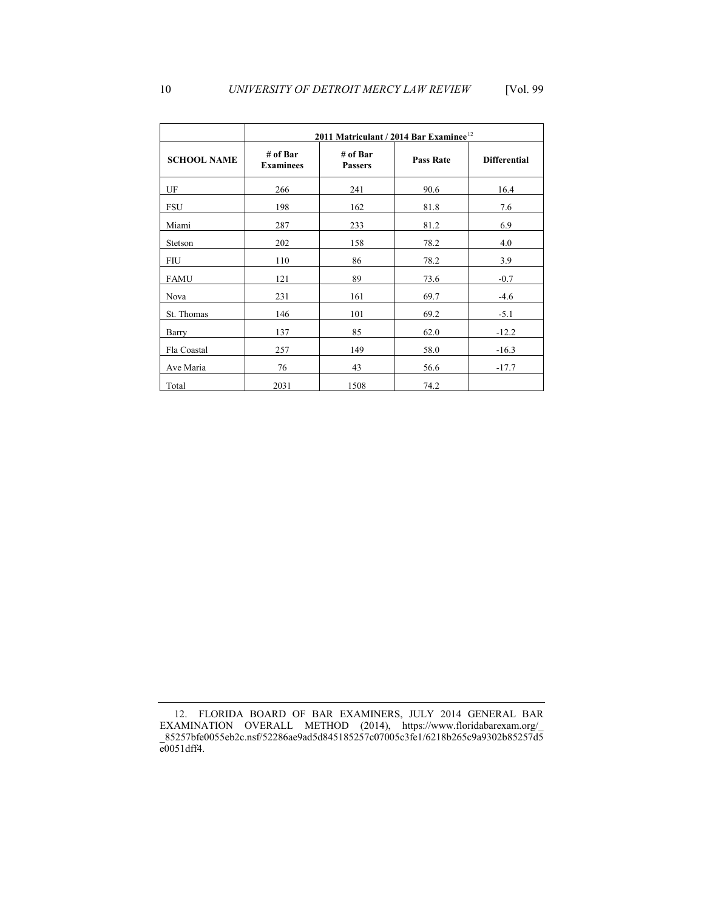|                    | 2011 Matriculant / 2014 Bar Examinee <sup>12</sup> |                            |                  |                     |  |  |  |  |
|--------------------|----------------------------------------------------|----------------------------|------------------|---------------------|--|--|--|--|
| <b>SCHOOL NAME</b> | # of Bar<br><b>Examinees</b>                       | # of Bar<br><b>Passers</b> | <b>Pass Rate</b> | <b>Differential</b> |  |  |  |  |
| UF                 | 266                                                | 241                        | 90.6             | 16.4                |  |  |  |  |
| FSU                | 198                                                | 162                        | 81.8             | 7.6                 |  |  |  |  |
| Miami              | 287                                                | 233                        | 81.2             | 6.9                 |  |  |  |  |
| Stetson            | 202                                                | 158                        | 78.2             | 4.0                 |  |  |  |  |
| FIU                | 110                                                | 86                         | 78.2             | 3.9                 |  |  |  |  |
| FAMU               | 121                                                | 89                         | 73.6             | $-0.7$              |  |  |  |  |
| Nova               | 231                                                | 161                        | 69.7             | $-4.6$              |  |  |  |  |
| St. Thomas         | 146                                                | 101                        | 69.2             | $-5.1$              |  |  |  |  |
| Barry              | 137                                                | 85                         | 62.0             | $-12.2$             |  |  |  |  |
| Fla Coastal        | 257                                                | 149                        | 58.0             | $-16.3$             |  |  |  |  |
| Ave Maria          | 76                                                 | 43                         | 56.6             | $-17.7$             |  |  |  |  |

Total 1508 74.2

<span id="page-4-0"></span> 12. FLORIDA BOARD OF BAR EXAMINERS, JULY 2014 GENERAL BAR EXAMINATION OVERALL METHOD (2014), [https://www.floridabarexam.org/](https://www.floridabarexam.org)\_ \_85257bfe0055eb2c.nsf/52286ae9ad5d845185257c07005c3fe1/6218b265c9a9302b85257d5 e0051dff4.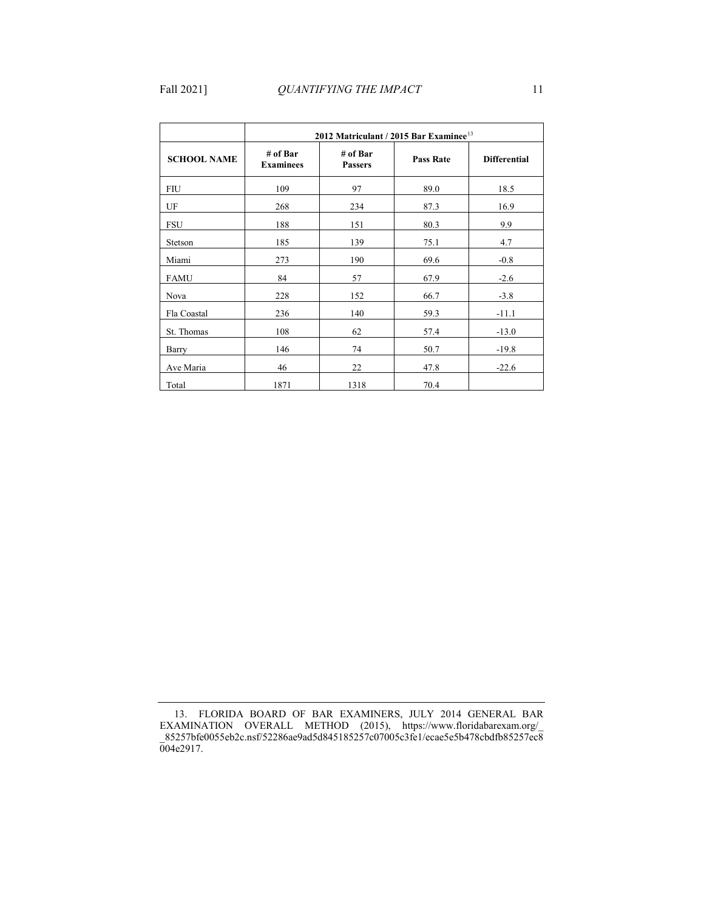|                    | 2012 Matriculant / 2015 Bar Examinee <sup>13</sup> |                            |      |                     |  |  |  |  |
|--------------------|----------------------------------------------------|----------------------------|------|---------------------|--|--|--|--|
| <b>SCHOOL NAME</b> | # of Bar<br><b>Examinees</b>                       | # of Bar<br><b>Passers</b> |      | <b>Differential</b> |  |  |  |  |
| <b>FIU</b>         | 109                                                | 97                         | 89.0 | 18.5                |  |  |  |  |
| UF                 | 268                                                | 234                        | 87.3 | 16.9                |  |  |  |  |
| <b>FSU</b>         | 188                                                | 151                        | 80.3 | 9.9                 |  |  |  |  |
| Stetson            | 185                                                | 139                        | 75.1 | 4.7                 |  |  |  |  |
| Miami              | 273                                                | 190                        | 69.6 | $-0.8$              |  |  |  |  |
| <b>FAMU</b>        | 84                                                 | 57                         | 67.9 | $-2.6$              |  |  |  |  |
| Nova               | 228                                                | 152                        | 66.7 | $-3.8$              |  |  |  |  |
| Fla Coastal        | 236                                                | 140                        | 59.3 | $-11.1$             |  |  |  |  |
| St. Thomas         | 108                                                | 62                         | 57.4 | $-13.0$             |  |  |  |  |
| Barry              | 146                                                | 74                         | 50.7 | $-19.8$             |  |  |  |  |
| Ave Maria          | 46                                                 | 22                         | 47.8 | $-22.6$             |  |  |  |  |
| Total              | 1871                                               | 1318                       | 70.4 |                     |  |  |  |  |

<span id="page-5-0"></span> 13. FLORIDA BOARD OF BAR EXAMINERS, JULY 2014 GENERAL BAR EXAMINATION OVERALL METHOD (2015), [https://www.floridabarexam.org/](https://www.floridabarexam.org)\_ \_85257bfe0055eb2c.nsf/52286ae9ad5d845185257c07005c3fe1/ecae5e5b478cbdfb85257ec8 004e2917.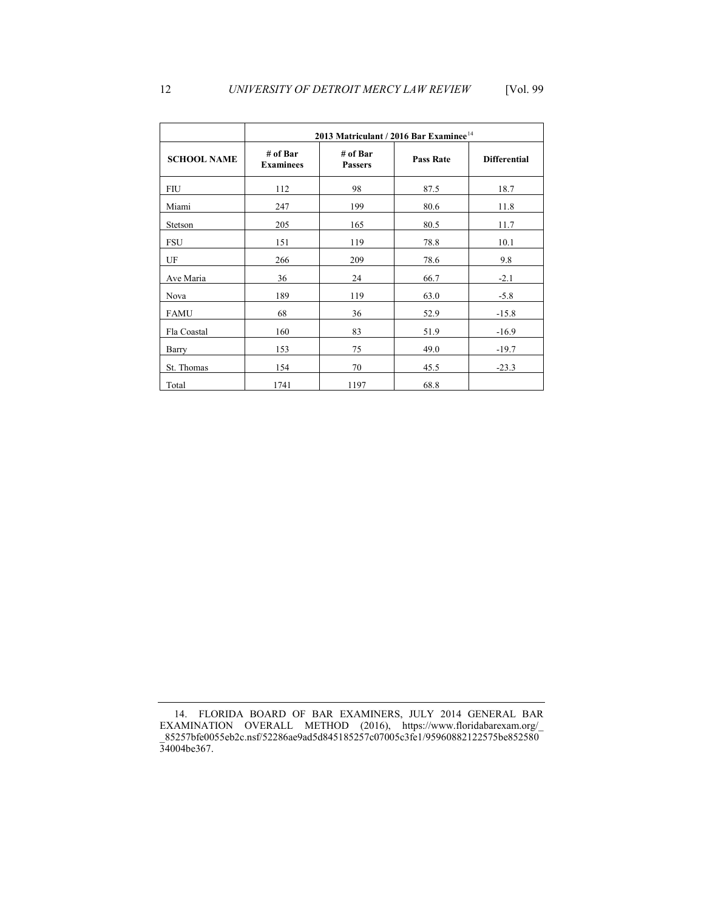|                    | 2013 Matriculant / 2016 Bar Examinee <sup>14</sup> |                            |                  |                     |  |  |  |
|--------------------|----------------------------------------------------|----------------------------|------------------|---------------------|--|--|--|
| <b>SCHOOL NAME</b> | # of Bar<br><b>Examinees</b>                       | # of Bar<br><b>Passers</b> | <b>Pass Rate</b> | <b>Differential</b> |  |  |  |
| <b>FIU</b>         | 112                                                | 98                         | 87.5             | 18.7                |  |  |  |
| Miami              | 247                                                | 199                        | 80.6             | 11.8                |  |  |  |
| Stetson            | 205                                                | 165                        | 80.5             | 11.7                |  |  |  |
| <b>FSU</b>         | 151                                                | 119                        | 78.8             | 10.1                |  |  |  |
| UF                 | 266                                                | 209                        | 78.6             | 9.8                 |  |  |  |
| Ave Maria          | 36                                                 | 24                         | 66.7             | $-2.1$              |  |  |  |
| Nova               | 189                                                | 119                        | 63.0             | $-5.8$              |  |  |  |
| <b>FAMU</b>        | 68                                                 | 36                         | 52.9             | $-15.8$             |  |  |  |
| Fla Coastal        | 160                                                | 83                         | 51.9             | $-16.9$             |  |  |  |
| Barry              | 153                                                | 75                         | 49.0             | $-19.7$             |  |  |  |
| St. Thomas         | 154                                                | 70                         | 45.5             | $-23.3$             |  |  |  |
| Total              | 1741                                               | 1197                       | 68.8             |                     |  |  |  |

<span id="page-6-0"></span> 14. FLORIDA BOARD OF BAR EXAMINERS, JULY 2014 GENERAL BAR EXAMINATION OVERALL METHOD (2016), [https://www.floridabarexam.org/](https://www.floridabarexam.org)\_ \_85257bfe0055eb2c.nsf/52286ae9ad5d845185257c07005c3fe1/95960882122575be852580 34004be367.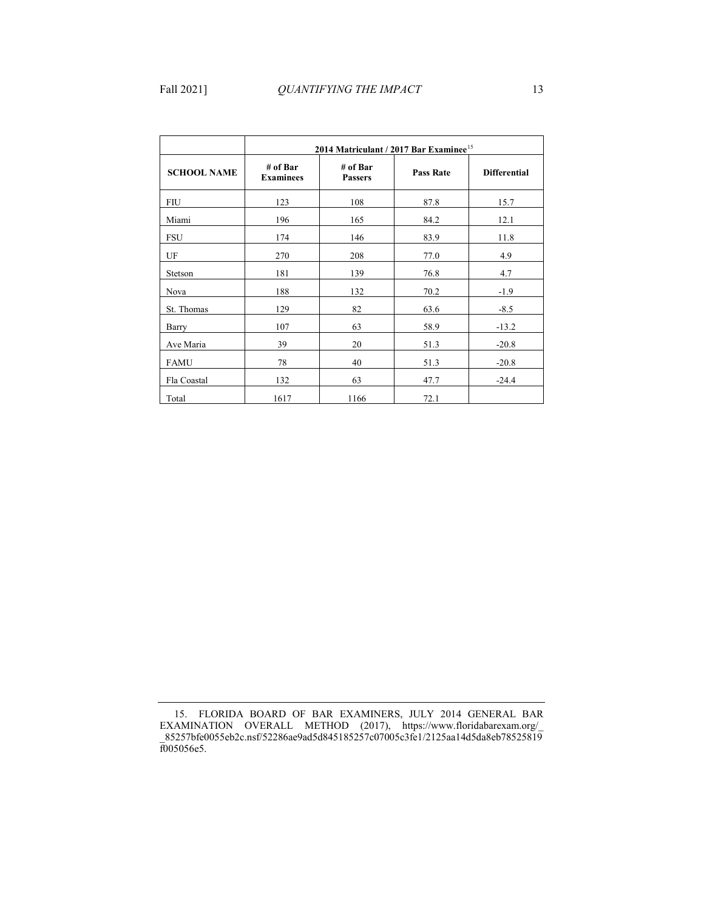|                    | 2014 Matriculant / 2017 Bar Examinee <sup>15</sup> |                            |                  |                     |  |  |  |  |
|--------------------|----------------------------------------------------|----------------------------|------------------|---------------------|--|--|--|--|
| <b>SCHOOL NAME</b> | # of Bar<br><b>Examinees</b>                       | # of Bar<br><b>Passers</b> | <b>Pass Rate</b> | <b>Differential</b> |  |  |  |  |
| <b>FIU</b>         | 123                                                | 108                        | 87.8             | 15.7                |  |  |  |  |
| Miami              | 196                                                | 165                        | 84.2             | 12.1                |  |  |  |  |
| <b>FSU</b>         | 174                                                | 146                        | 83.9             | 11.8                |  |  |  |  |
| UF                 | 270                                                | 208                        | 77.0             | 4.9                 |  |  |  |  |
| Stetson            | 181                                                | 139                        | 76.8             | 4.7                 |  |  |  |  |
| Nova               | 188                                                | 132                        | 70.2             | $-1.9$              |  |  |  |  |
| St. Thomas         | 129                                                | 82                         | 63.6             | $-8.5$              |  |  |  |  |
| Barry              | 107                                                | 63                         | 58.9             | $-13.2$             |  |  |  |  |
| Ave Maria          | 39                                                 | 20                         | 51.3             | $-20.8$             |  |  |  |  |
| <b>FAMU</b>        | 78                                                 | 40                         | 51.3             | $-20.8$             |  |  |  |  |
| Fla Coastal        | 132                                                | 63                         | 47.7             | $-24.4$             |  |  |  |  |
| Total              | 1617                                               | 1166                       | 72.1             |                     |  |  |  |  |

<span id="page-7-0"></span> 15. FLORIDA BOARD OF BAR EXAMINERS, JULY 2014 GENERAL BAR EXAMINATION OVERALL METHOD (2017), [https://www.floridabarexam.org/](https://www.floridabarexam.org)\_ \_85257bfe0055eb2c.nsf/52286ae9ad5d845185257c07005c3fe1/2125aa14d5da8eb78525819 f005056e5.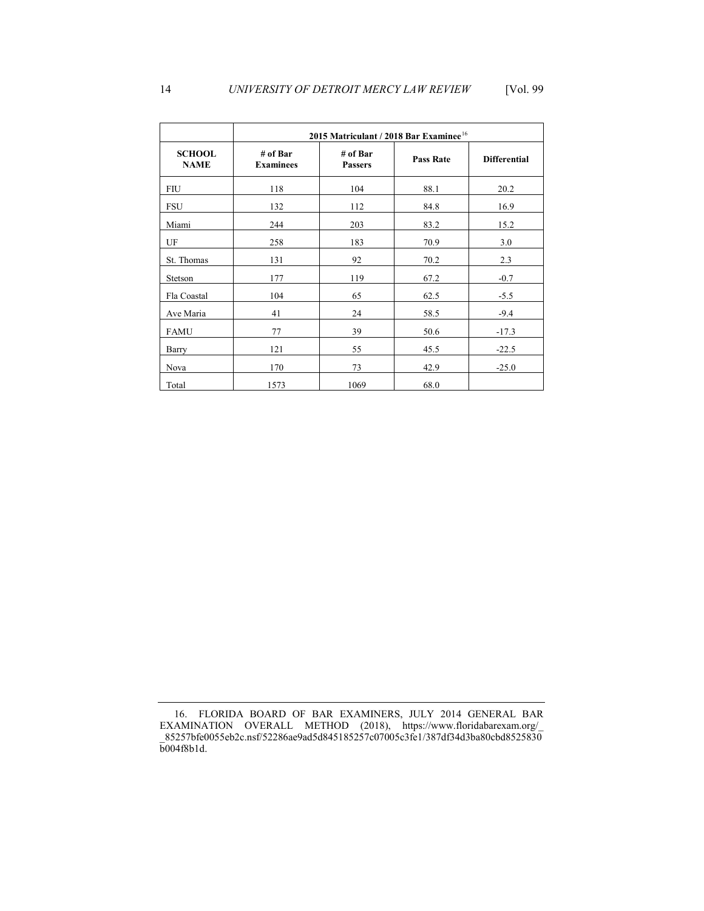|                              | 2015 Matriculant / 2018 Bar Examinee <sup>16</sup> |                            |                  |                     |  |  |  |
|------------------------------|----------------------------------------------------|----------------------------|------------------|---------------------|--|--|--|
| <b>SCHOOL</b><br><b>NAME</b> | # of Bar<br><b>Examinees</b>                       | # of Bar<br><b>Passers</b> | <b>Pass Rate</b> | <b>Differential</b> |  |  |  |
| <b>FIU</b>                   | 118                                                | 104                        | 88.1             | 20.2                |  |  |  |
| FSU                          | 132                                                | 112                        | 84.8             | 16.9                |  |  |  |
| Miami                        | 244                                                | 203                        | 83.2             | 15.2                |  |  |  |
| UF                           | 258                                                | 183                        | 70.9             | 3.0                 |  |  |  |
| St. Thomas                   | 131                                                | 92                         | 70.2             | 2.3                 |  |  |  |
| Stetson                      | 177                                                | 119                        | 67.2             | $-0.7$              |  |  |  |
| Fla Coastal                  | 104                                                | 65                         | 62.5             | $-5.5$              |  |  |  |
| Ave Maria                    | 41                                                 | 24                         | 58.5             | $-9.4$              |  |  |  |
| <b>FAMU</b>                  | 77                                                 | 39                         | 50.6             | $-17.3$             |  |  |  |
| Barry                        | 121                                                | 55                         | 45.5             | $-22.5$             |  |  |  |
| Nova                         | 170                                                | 73                         | 42.9             | $-25.0$             |  |  |  |
| Total                        | 1573                                               | 1069                       | 68.0             |                     |  |  |  |

<span id="page-8-0"></span> 16. FLORIDA BOARD OF BAR EXAMINERS, JULY 2014 GENERAL BAR EXAMINATION OVERALL METHOD (2018), [https://www.floridabarexam.org/](https://www.floridabarexam.org)\_ \_85257bfe0055eb2c.nsf/52286ae9ad5d845185257c07005c3fe1/387df34d3ba80cbd8525830 b004f8b1d.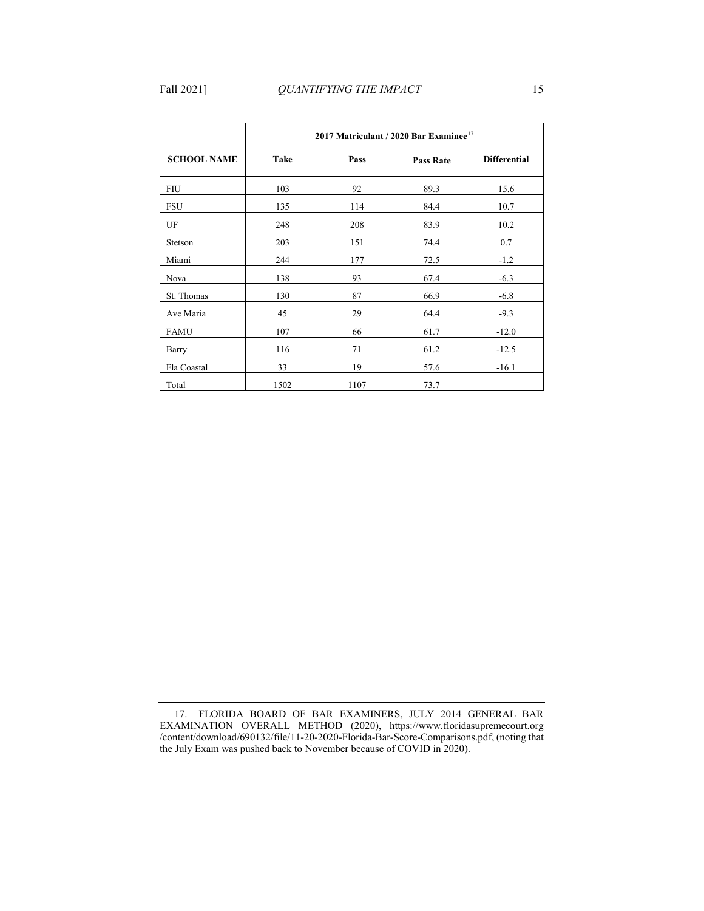|                    | 2017 Matriculant / 2020 Bar Examinee <sup>17</sup> |      |                  |                     |  |  |  |  |
|--------------------|----------------------------------------------------|------|------------------|---------------------|--|--|--|--|
| <b>SCHOOL NAME</b> | Take                                               | Pass | <b>Pass Rate</b> | <b>Differential</b> |  |  |  |  |
| <b>FIU</b>         | 103                                                | 92   | 89.3             | 15.6                |  |  |  |  |
| <b>FSU</b>         | 135                                                | 114  | 84.4             | 10.7                |  |  |  |  |
| UF                 | 248                                                | 208  | 83.9             | 10.2                |  |  |  |  |
| Stetson            | 203                                                | 151  | 74.4             | 0.7                 |  |  |  |  |
| Miami              | 244                                                | 177  | 72.5             | $-1.2$              |  |  |  |  |
| Nova               | 138                                                | 93   | 67.4             | $-6.3$              |  |  |  |  |
| St. Thomas         | 130                                                | 87   | 66.9             | $-6.8$              |  |  |  |  |
| Ave Maria          | 45                                                 | 29   | 64.4             | $-9.3$              |  |  |  |  |
| <b>FAMU</b>        | 107                                                | 66   | 61.7             | $-12.0$             |  |  |  |  |
| Barry              | 116                                                | 71   | 61.2             | $-12.5$             |  |  |  |  |
| Fla Coastal        | 33                                                 | 19   | 57.6             | $-16.1$             |  |  |  |  |
| Total              | 1502                                               | 1107 | 73.7             |                     |  |  |  |  |

<span id="page-9-0"></span> 17. FLORIDA BOARD OF BAR EXAMINERS, JULY 2014 GENERAL BAR EXAMINATION OVERALL METHOD (2020), <https://www.floridasupremecourt.org> /content/download/690132/file/11-20-2020-Florida-Bar-Score-Comparisons.pdf, (noting that the July Exam was pushed back to November because of COVID in 2020).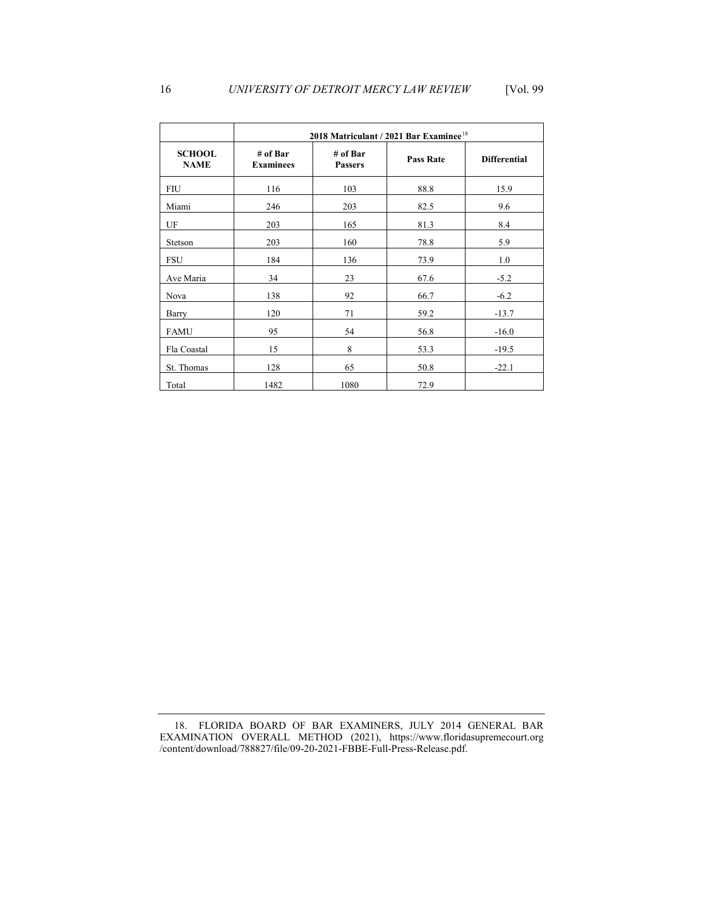|                              | 2018 Matriculant / 2021 Bar Examinee <sup>18</sup> |                            |                  |                     |  |  |  |
|------------------------------|----------------------------------------------------|----------------------------|------------------|---------------------|--|--|--|
| <b>SCHOOL</b><br><b>NAME</b> | # of Bar<br><b>Examinees</b>                       | # of Bar<br><b>Passers</b> | <b>Pass Rate</b> | <b>Differential</b> |  |  |  |
| FIU                          | 116                                                | 103                        | 88.8             | 15.9                |  |  |  |
| Miami                        | 246                                                | 203                        | 82.5             | 9.6                 |  |  |  |
| UF                           | 203                                                | 165                        | 81.3             | 8.4                 |  |  |  |
| Stetson                      | 203                                                | 160                        | 78.8             | 5.9                 |  |  |  |
| <b>FSU</b>                   | 184                                                | 136                        | 73.9             | 1.0                 |  |  |  |
| Ave Maria                    | 34                                                 | 23                         | 67.6             | $-5.2$              |  |  |  |
| Nova                         | 138                                                | 92                         | 66.7             | $-6.2$              |  |  |  |
| Barry                        | 120                                                | 71                         | 59.2             | $-13.7$             |  |  |  |
| <b>FAMU</b>                  | 95                                                 | 54                         | 56.8             | $-16.0$             |  |  |  |
| Fla Coastal                  | 15                                                 | 8                          | 53.3             | $-19.5$             |  |  |  |
| St. Thomas                   | 128                                                | 65                         | 50.8             | $-22.1$             |  |  |  |
| Total                        | 1482                                               | 1080                       | 72.9             |                     |  |  |  |

<span id="page-10-0"></span> 18. FLORIDA BOARD OF BAR EXAMINERS, JULY 2014 GENERAL BAR EXAMINATION OVERALL METHOD (2021), <https://www.floridasupremecourt.org> /content/download/788827/file/09-20-2021-FBBE-Full-Press-Release.pdf.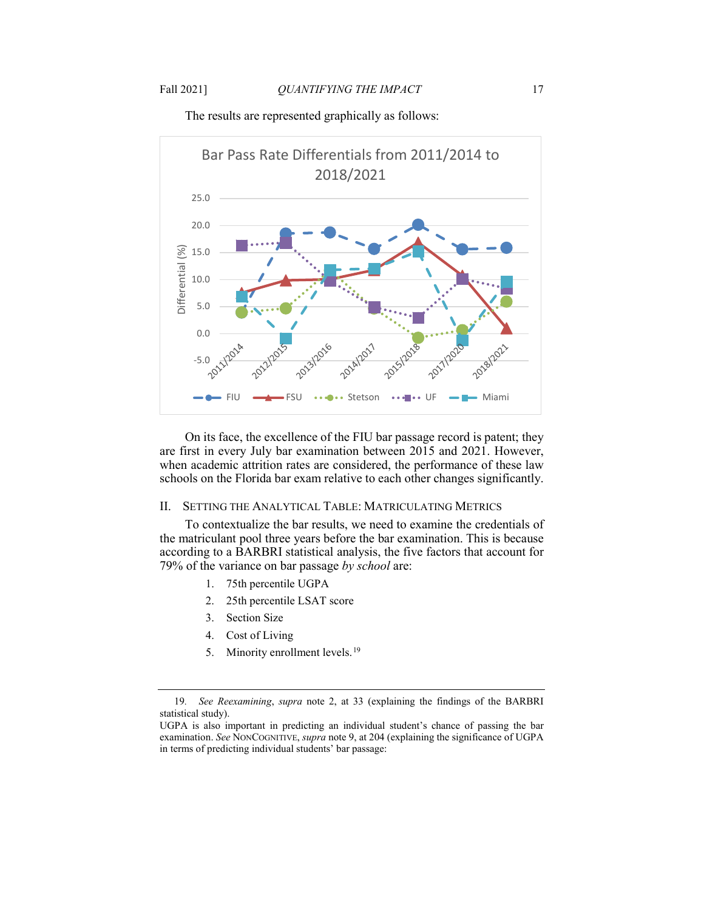

The results are represented graphically as follows:

 when academic attrition rates are considered, the performance of these law On its face, the excellence of the FIU bar passage record is patent; they are first in every July bar examination between 2015 and 2021. However, schools on the Florida bar exam relative to each other changes significantly.

### II. SETTING THE ANALYTICAL TABLE: MATRICULATING METRICS

 according to a BARBRI statistical analysis, the five factors that account for 79% of the variance on bar passage *by school* are: To contextualize the bar results, we need to examine the credentials of the matriculant pool three years before the bar examination. This is because

- 1. 75th percentile UGPA
- 2. 25th percentile LSAT score
- 3. Section Size
- 4. Cost of Living
- 5. Minority enrollment levels.<sup>19</sup>

<span id="page-11-0"></span>statistical study). 19*. See Reexamining*, *supra* note [2,](#page-0-4) at 33 (explaining the findings of the BARBRI

 examination. *See* NONCOGNITIVE, *supra* not[e 9,](#page-2-0) at 204 (explaining the significance of UGPA in terms of predicting individual students' bar passage: UGPA is also important in predicting an individual student's chance of passing the bar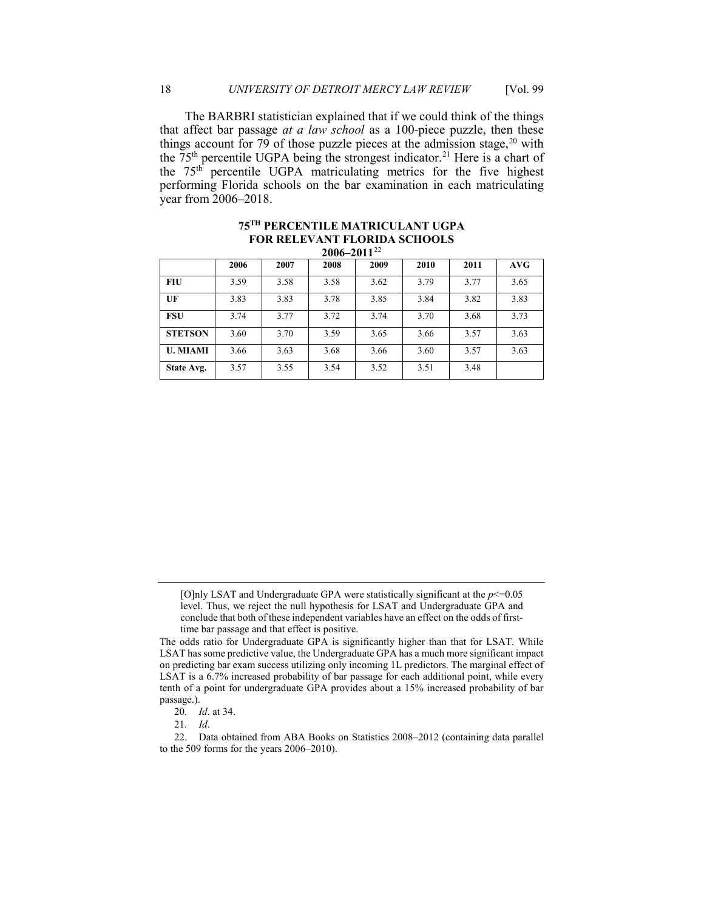The BARBRI statistician explained that if we could think of the things the  $75<sup>th</sup>$  percentile UGPA being the strongest indicator.<sup>21</sup> Here is a chart of the 75th percentile UGPA matriculating metrics for the five highest that affect bar passage *at a law school* as a 100-piece puzzle, then these things account for 79 of those puzzle pieces at the admission stage,  $20$  with performing Florida schools on the bar examination in each matriculating year from 2006–2018.

|                 | 2006 | 2007 | 2008 | 2009 | 2010 | 2011 | AVG  |  |  |  |
|-----------------|------|------|------|------|------|------|------|--|--|--|
| <b>FIU</b>      | 3.59 | 3.58 | 3.58 | 3.62 | 3.79 | 3.77 | 3.65 |  |  |  |
| UF              | 3.83 | 3.83 | 3.78 | 3.85 | 3.84 | 3.82 | 3.83 |  |  |  |
| <b>FSU</b>      | 3.74 | 3.77 | 3.72 | 3.74 | 3.70 | 3.68 | 3.73 |  |  |  |
| <b>STETSON</b>  | 3.60 | 3.70 | 3.59 | 3.65 | 3.66 | 3.57 | 3.63 |  |  |  |
| <b>U. MIAMI</b> | 3.66 | 3.63 | 3.68 | 3.66 | 3.60 | 3.57 | 3.63 |  |  |  |
| State Avg.      | 3.57 | 3.55 | 3.54 | 3.52 | 3.51 | 3.48 |      |  |  |  |

### <span id="page-12-3"></span> **2006–2011**[22](#page-12-2)  **75TH PERCENTILE MATRICULANT UGPA FOR RELEVANT FLORIDA SCHOOLS**

 conclude that both of these independent variables have an effect on the odds of first- time bar passage and that effect is positive. [O]nly LSAT and Undergraduate GPA were statistically significant at the  $p \leq 0.05$ level. Thus, we reject the null hypothesis for LSAT and Undergraduate GPA and

The odds ratio for Undergraduate GPA is significantly higher than that for LSAT. While LSAT has some predictive value, the Undergraduate GPA has a much more significant impact on predicting bar exam success utilizing only incoming 1L predictors. The marginal effect of LSAT is a 6.7% increased probability of bar passage for each additional point, while every tenth of a point for undergraduate GPA provides about a 15% increased probability of bar passage.).

<sup>20</sup>*. Id*. at 34.

<sup>21</sup>*. Id*.

<span id="page-12-2"></span><span id="page-12-1"></span><span id="page-12-0"></span><sup>22.</sup> Data obtained from ABA Books on Statistics 2008–2012 (containing data parallel to the 509 forms for the years 2006–2010).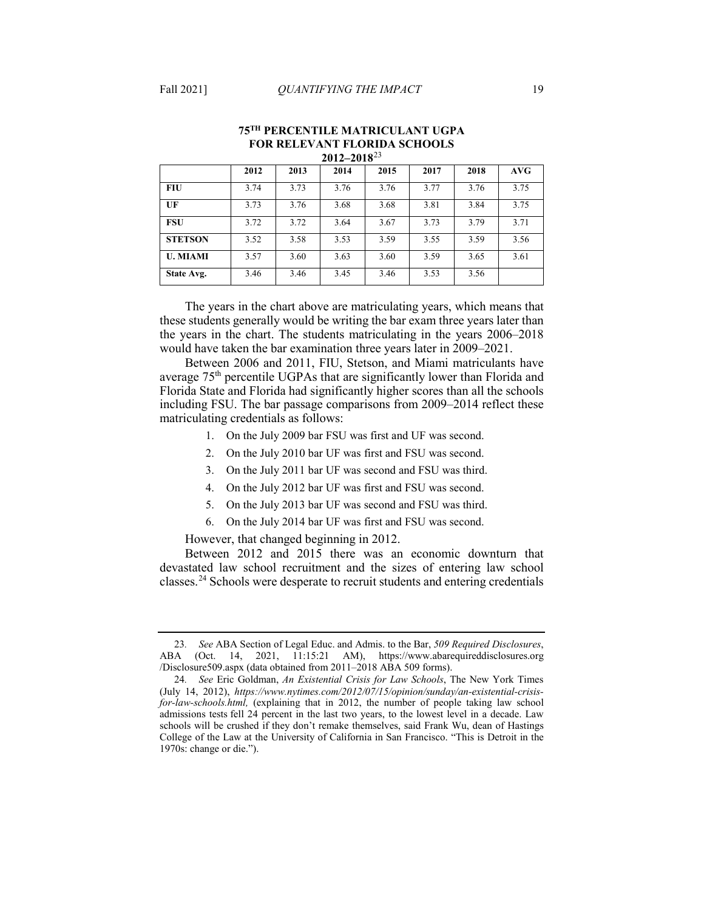|                 | 2012 | 2013 | 2014 | 2015 | 2017 | 2018 | AVG  |
|-----------------|------|------|------|------|------|------|------|
| <b>FIU</b>      | 3.74 | 3.73 | 3.76 | 3.76 | 3.77 | 3.76 | 3.75 |
| UF              | 3.73 | 3.76 | 3.68 | 3.68 | 3.81 | 3.84 | 3.75 |
| <b>FSU</b>      | 3.72 | 3.72 | 3.64 | 3.67 | 3.73 | 3.79 | 3.71 |
| <b>STETSON</b>  | 3.52 | 3.58 | 3.53 | 3.59 | 3.55 | 3.59 | 3.56 |
| <b>U. MIAMI</b> | 3.57 | 3.60 | 3.63 | 3.60 | 3.59 | 3.65 | 3.61 |
| State Avg.      | 3.46 | 3.46 | 3.45 | 3.46 | 3.53 | 3.56 |      |

#### <span id="page-13-2"></span>**75TH PERCENTILE MATRICULANT UGPA FOR RELEVANT FLORIDA SCHOOLS 2012–2018**[23](#page-13-0)

 these students generally would be writing the bar exam three years later than the years in the chart. The students matriculating in the years 2006–2018 The years in the chart above are matriculating years, which means that would have taken the bar examination three years later in 2009–2021.

Between 2006 and 2011, FIU, Stetson, and Miami matriculants have average 75<sup>th</sup> percentile UGPAs that are significantly lower than Florida and Florida State and Florida had significantly higher scores than all the schools including FSU. The bar passage comparisons from 2009–2014 reflect these matriculating credentials as follows:

- 1. On the July 2009 bar FSU was first and UF was second.
- 2. On the July 2010 bar UF was first and FSU was second.
- 3. On the July 2011 bar UF was second and FSU was third.
- 4. On the July 2012 bar UF was first and FSU was second.
- 5. On the July 2013 bar UF was second and FSU was third.
- 6. On the July 2014 bar UF was first and FSU was second.

However, that changed beginning in 2012.

classes.<sup>24</sup> Schools were desperate to recruit students and entering credentials Between 2012 and 2015 there was an economic downturn that devastated law school recruitment and the sizes of entering law school

<span id="page-13-0"></span><sup>23</sup>*. See* ABA Section of Legal Educ. and Admis. to the Bar, *509 Required Disclosures*, ABA (Oct. 14, 2021, 11:15:21 AM), <https://www.abarequireddisclosures.org> /Disclosure509.aspx (data obtained from 2011–2018 ABA 509 forms).

<span id="page-13-1"></span> *for-law-schools.html,* (explaining that in 2012, the number of people taking law school admissions tests fell 24 percent in the last two years, to the lowest level in a decade. Law College of the Law at the University of California in San Francisco. "This is Detroit in the 24*. See* Eric Goldman, *An Existential Crisis for Law Schools*, The New York Times (July 14, 2012), *<https://www.nytimes.com/2012/07/15/opinion/sunday/an-existential-crisis>*schools will be crushed if they don't remake themselves, said Frank Wu, dean of Hastings 1970s: change or die.").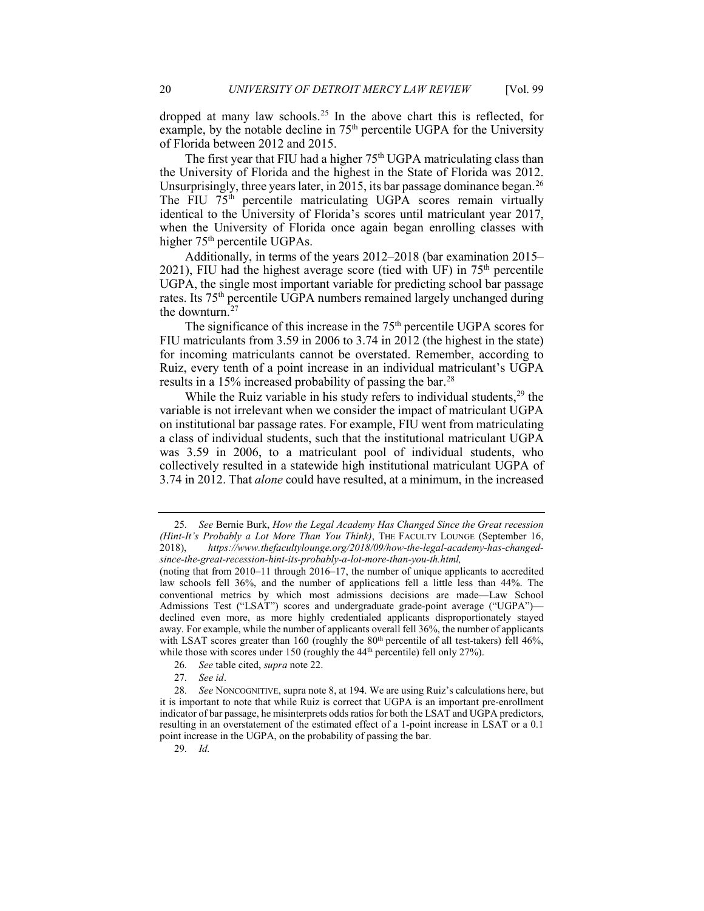dropped at many law schools.<sup>25</sup> In the above chart this is reflected, for example, by the notable decline in 75<sup>th</sup> percentile UGPA for the University of Florida between 2012 and 2015.

 the University of Florida and the highest in the State of Florida was 2012. The first year that FIU had a higher  $75<sup>th</sup> UGPA$  matriculating class than Unsurprisingly, three years later, in 2015, its bar passage dominance began.<sup>26</sup> The FIU 75<sup>th</sup> percentile matriculating UGPA scores remain virtually identical to the University of Florida's scores until matriculant year 2017, when the University of Florida once again began enrolling classes with higher 75<sup>th</sup> percentile UGPAs.

the downturn.<sup>[27](#page-14-2)</sup> Additionally, in terms of the years 2012–2018 (bar examination 2015– 2021), FIU had the highest average score (tied with UF) in  $75<sup>th</sup>$  percentile UGPA, the single most important variable for predicting school bar passage rates. Its 75<sup>th</sup> percentile UGPA numbers remained largely unchanged during

 FIU matriculants from 3.59 in 2006 to 3.74 in 2012 (the highest in the state) for incoming matriculants cannot be overstated. Remember, according to The significance of this increase in the 75<sup>th</sup> percentile UGPA scores for Ruiz, every tenth of a point increase in an individual matriculant's UGPA results in a 15% increased probability of passing the bar.<sup>28</sup>

While the Ruiz variable in his study refers to individual students,  $29$  the variable is not irrelevant when we consider the impact of matriculant UGPA on institutional bar passage rates. For example, FIU went from matriculating a class of individual students, such that the institutional matriculant UGPA 3.74 in 2012. That *alone* could have resulted, at a minimum, in the increased was 3.59 in 2006, to a matriculant pool of individual students, who collectively resulted in a statewide high institutional matriculant UGPA of

- 
- 27*. See id*.

29*. Id.* 

<span id="page-14-0"></span> *(Hint-It's Probably a Lot More Than You Think)*, THE FACULTY LOUNGE (September 16, 25*. See* Bernie Burk, *How the Legal Academy Has Changed Since the Great recession*  2018), *<https://www.thefacultylounge.org/2018/09/how-the-legal-academy-has-changed>since-the-great-recession-hint-its-probably-a-lot-more-than-you-th.html,* 

while those with scores under 150 (roughly the 44<sup>th</sup> percentile) fell only 27%).<br>26*. See* table cited, *supra* note 22. (noting that from 2010–11 through 2016–17, the number of unique applicants to accredited law schools fell 36%, and the number of applications fell a little less than 44%. The conventional metrics by which most admissions decisions are made—Law School Admissions Test ("LSAT") scores and undergraduate grade-point average ("UGPA") declined even more, as more highly credentialed applicants disproportionately stayed away. For example, while the number of applicants overall fell 36%, the number of applicants with LSAT scores greater than 160 (roughly the  $80<sup>th</sup>$  percentile of all test-takers) fell 46%,

<span id="page-14-4"></span><span id="page-14-3"></span><span id="page-14-2"></span><span id="page-14-1"></span><sup>28</sup>*. See* NONCOGNITIVE, supra note 8, at 194. We are using Ruiz's calculations here, but it is important to note that while Ruiz is correct that UGPA is an important pre-enrollment indicator of bar passage, he misinterprets odds ratios for both the LSAT and UGPA predictors, resulting in an overstatement of the estimated effect of a 1-point increase in LSAT or a 0.1 point increase in the UGPA, on the probability of passing the bar.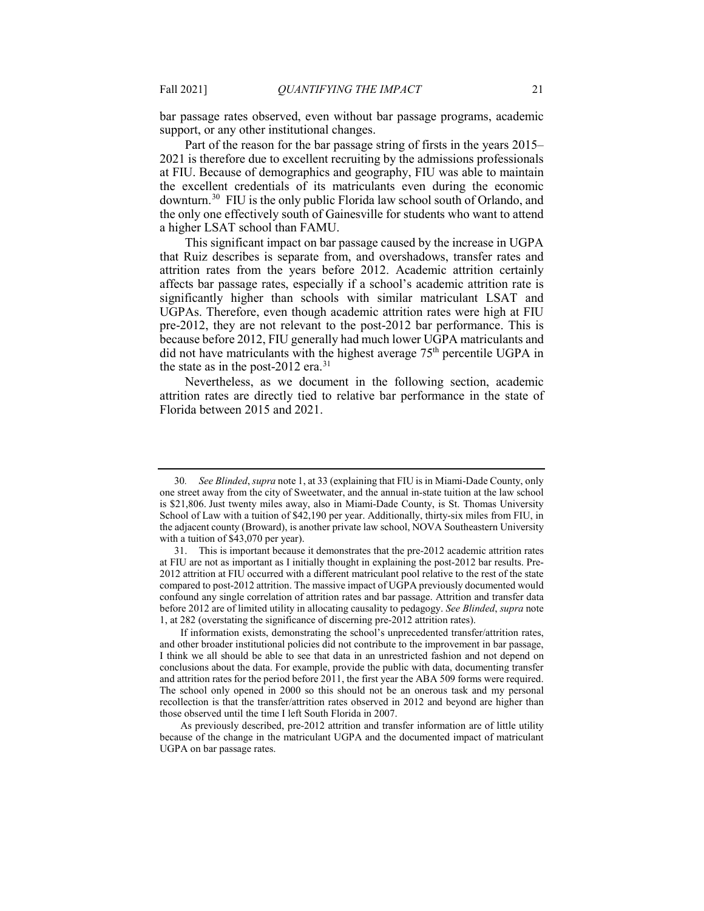support, or any other institutional changes. bar passage rates observed, even without bar passage programs, academic

 Part of the reason for the bar passage string of firsts in the years 2015– the excellent credentials of its matriculants even during the economic downturn.<sup>[30](#page-15-0)</sup> FIU is the only public Florida law school south of Orlando, and the only one effectively south of Gainesville for students who want to attend 2021 is therefore due to excellent recruiting by the admissions professionals at FIU. Because of demographics and geography, FIU was able to maintain a higher LSAT school than FAMU.

 that Ruiz describes is separate from, and overshadows, transfer rates and attrition rates from the years before 2012. Academic attrition certainly affects bar passage rates, especially if a school's academic attrition rate is significantly higher than schools with similar matriculant LSAT and pre-2012, they are not relevant to the post-2012 bar performance. This is because before 2012, FIU generally had much lower UGPA matriculants and This significant impact on bar passage caused by the increase in UGPA UGPAs. Therefore, even though academic attrition rates were high at FIU did not have matriculants with the highest average  $75<sup>th</sup>$  percentile UGPA in the state as in the post-2012 era. $31$ 

Nevertheless, as we document in the following section, academic attrition rates are directly tied to relative bar performance in the state of Florida between 2015 and 2021.

<span id="page-15-0"></span> one street away from the city of Sweetwater, and the annual in-state tuition at the law school 30*. See Blinded*, *supra* note 1, at 33 (explaining that FIU is in Miami-Dade County, only is \$21,806. Just twenty miles away, also in Miami-Dade County, is St. Thomas University School of Law with a tuition of \$42,190 per year. Additionally, thirty-six miles from FIU, in the adjacent county (Broward), is another private law school, NOVA Southeastern University with a tuition of \$43,070 per year).

<span id="page-15-1"></span><sup>31.</sup> This is important because it demonstrates that the pre-2012 academic attrition rates at FIU are not as important as I initially thought in explaining the post-2012 bar results. Pre-2012 attrition at FIU occurred with a different matriculant pool relative to the rest of the state compared to post-2012 attrition. The massive impact of UGPA previously documented would confound any single correlation of attrition rates and bar passage. Attrition and transfer data before 2012 are of limited utility in allocating causality to pedagogy. *See Blinded*, *supra* note 1, at 282 (overstating the significance of discerning pre-2012 attrition rates).

 I think we all should be able to see that data in an unrestricted fashion and not depend on conclusions about the data. For example, provide the public with data, documenting transfer and attrition rates for the period before 2011, the first year the ABA 509 forms were required. If information exists, demonstrating the school's unprecedented transfer/attrition rates, and other broader institutional policies did not contribute to the improvement in bar passage, The school only opened in 2000 so this should not be an onerous task and my personal recollection is that the transfer/attrition rates observed in 2012 and beyond are higher than those observed until the time I left South Florida in 2007.

 because of the change in the matriculant UGPA and the documented impact of matriculant As previously described, pre-2012 attrition and transfer information are of little utility UGPA on bar passage rates.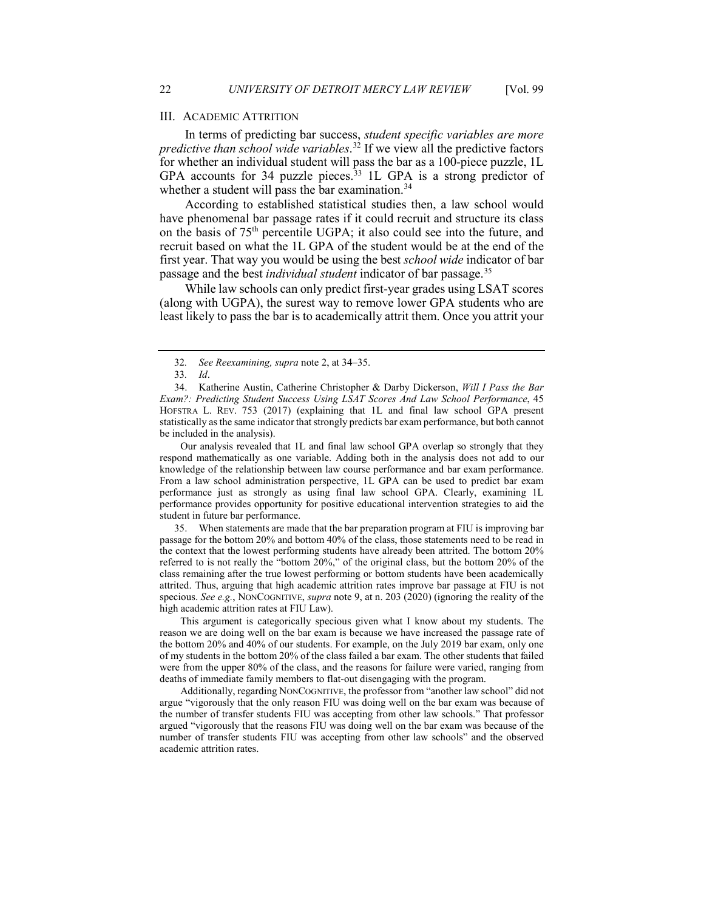for whether an individual student will pass the bar as a 100-piece puzzle, 1L GPA accounts for 34 puzzle pieces.<sup>33</sup> 1L GPA is a strong predictor of In terms of predicting bar success, *student specific variables are more predictive than school wide variables*. [32](#page-16-0) If we view all the predictive factors whether a student will pass the bar examination.<sup>34</sup>

 have phenomenal bar passage rates if it could recruit and structure its class recruit based on what the 1L GPA of the student would be at the end of the first year. That way you would be using the best *school wide* indicator of bar According to established statistical studies then, a law school would on the basis of 75th percentile UGPA; it also could see into the future, and passage and the best *individual student* indicator of bar passage.[35](#page-16-3)

 While law schools can only predict first-year grades using LSAT scores (along with UGPA), the surest way to remove lower GPA students who are least likely to pass the bar is to academically attrit them. Once you attrit your

Our analysis revealed that 1L and final law school GPA overlap so strongly that they respond mathematically as one variable. Adding both in the analysis does not add to our knowledge of the relationship between law course performance and bar exam performance. From a law school administration perspective, 1L GPA can be used to predict bar exam performance just as strongly as using final law school GPA. Clearly, examining 1L performance provides opportunity for positive educational intervention strategies to aid the student in future bar performance.

<span id="page-16-3"></span> specious. *See e.g.*, NONCOGNITIVE, *supra* not[e 9,](#page-2-0) at n. 203 (2020) (ignoring the reality of the 35. When statements are made that the bar preparation program at FIU is improving bar passage for the bottom 20% and bottom 40% of the class, those statements need to be read in the context that the lowest performing students have already been attrited. The bottom 20% referred to is not really the "bottom 20%," of the original class, but the bottom 20% of the class remaining after the true lowest performing or bottom students have been academically attrited. Thus, arguing that high academic attrition rates improve bar passage at FIU is not high academic attrition rates at FIU Law).

 were from the upper 80% of the class, and the reasons for failure were varied, ranging from This argument is categorically specious given what I know about my students. The reason we are doing well on the bar exam is because we have increased the passage rate of the bottom 20% and 40% of our students. For example, on the July 2019 bar exam, only one of my students in the bottom 20% of the class failed a bar exam. The other students that failed deaths of immediate family members to flat-out disengaging with the program.

Additionally, regarding NONCOGNITIVE, the professor from "another law school" did not argue "vigorously that the only reason FIU was doing well on the bar exam was because of the number of transfer students FIU was accepting from other law schools." That professor argued "vigorously that the reasons FIU was doing well on the bar exam was because of the number of transfer students FIU was accepting from other law schools" and the observed academic attrition rates.

<sup>32</sup>*. See Reexamining, supra* not[e 2,](#page-0-4) at 34–35.

<sup>33</sup>*. Id*.

<span id="page-16-2"></span><span id="page-16-1"></span><span id="page-16-0"></span> *Exam?: Predicting Student Success Using LSAT Scores And Law School Performance*, 45 HOFSTRA L. REV. 753 (2017) (explaining that 1L and final law school GPA present 34. Katherine Austin, Catherine Christopher & Darby Dickerson, *Will I Pass the Bar*  statistically as the same indicator that strongly predicts bar exam performance, but both cannot be included in the analysis).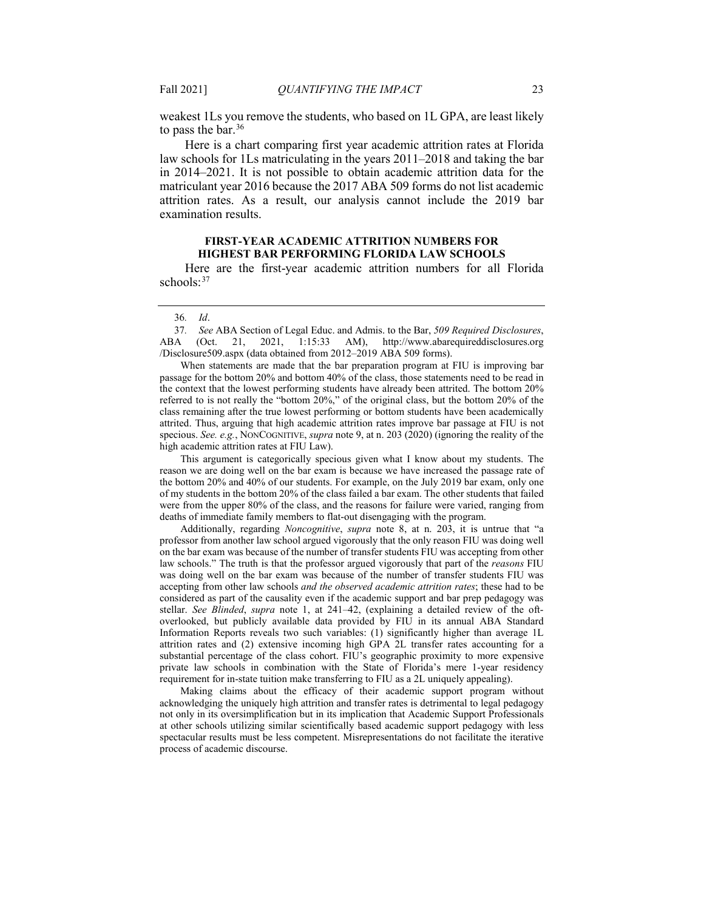weakest 1Ls you remove the students, who based on 1L GPA, are least likely to pass the bar. $36$ 

 Here is a chart comparing first year academic attrition rates at Florida matriculant year 2016 because the 2017 ABA 509 forms do not list academic attrition rates. As a result, our analysis cannot include the 2019 bar law schools for 1Ls matriculating in the years 2011–2018 and taking the bar in 2014–2021. It is not possible to obtain academic attrition data for the examination results.

#### **FIRST-YEAR ACADEMIC ATTRITION NUMBERS FOR HIGHEST BAR PERFORMING FLORIDA LAW SCHOOLS**

 Here are the first-year academic attrition numbers for all Florida schools:<sup>37</sup>

#### 36*. Id*.

<span id="page-17-1"></span><span id="page-17-0"></span>37*. See* ABA Section of Legal Educ. and Admis. to the Bar, *509 Required Disclosures*, ABA (Oct. 21, 2021, 1:15:33 AM), <http://www.abarequireddisclosures.org> /Disclosure509.aspx (data obtained from 2012–2019 ABA 509 forms).

 When statements are made that the bar preparation program at FIU is improving bar passage for the bottom 20% and bottom 40% of the class, those statements need to be read in the context that the lowest performing students have already been attrited. The bottom 20% referred to is not really the "bottom 20%," of the original class, but the bottom 20% of the class remaining after the true lowest performing or bottom students have been academically attrited. Thus, arguing that high academic attrition rates improve bar passage at FIU is not specious. *See. e.g.*, NONCOGNITIVE, *supra* not[e 9,](#page-2-0) at n. 203 (2020) (ignoring the reality of the high academic attrition rates at FIU Law).

 were from the upper 80% of the class, and the reasons for failure were varied, ranging from This argument is categorically specious given what I know about my students. The reason we are doing well on the bar exam is because we have increased the passage rate of the bottom 20% and 40% of our students. For example, on the July 2019 bar exam, only one of my students in the bottom 20% of the class failed a bar exam. The other students that failed deaths of immediate family members to flat-out disengaging with the program.

 accepting from other law schools *and the observed academic attrition rates*; these had to be considered as part of the causality even if the academic support and bar prep pedagogy was overlooked, but publicly available data provided by FIU in its annual ABA Standard private law schools in combination with the State of Florida's mere 1-year residency Additionally, regarding *Noncognitive*, *supra* note 8, at n. 203, it is untrue that "a professor from another law school argued vigorously that the only reason FIU was doing well on the bar exam was because of the number of transfer students FIU was accepting from other law schools." The truth is that the professor argued vigorously that part of the *reasons* FIU was doing well on the bar exam was because of the number of transfer students FIU was stellar. *See Blinded*, *supra* note 1, at 241–42, (explaining a detailed review of the oft-Information Reports reveals two such variables: (1) significantly higher than average 1L attrition rates and (2) extensive incoming high GPA 2L transfer rates accounting for a substantial percentage of the class cohort. FIU's geographic proximity to more expensive requirement for in-state tuition make transferring to FIU as a 2L uniquely appealing).

 Making claims about the efficacy of their academic support program without at other schools utilizing similar scientifically based academic support pedagogy with less spectacular results must be less competent. Misrepresentations do not facilitate the iterative acknowledging the uniquely high attrition and transfer rates is detrimental to legal pedagogy not only in its oversimplification but in its implication that Academic Support Professionals process of academic discourse.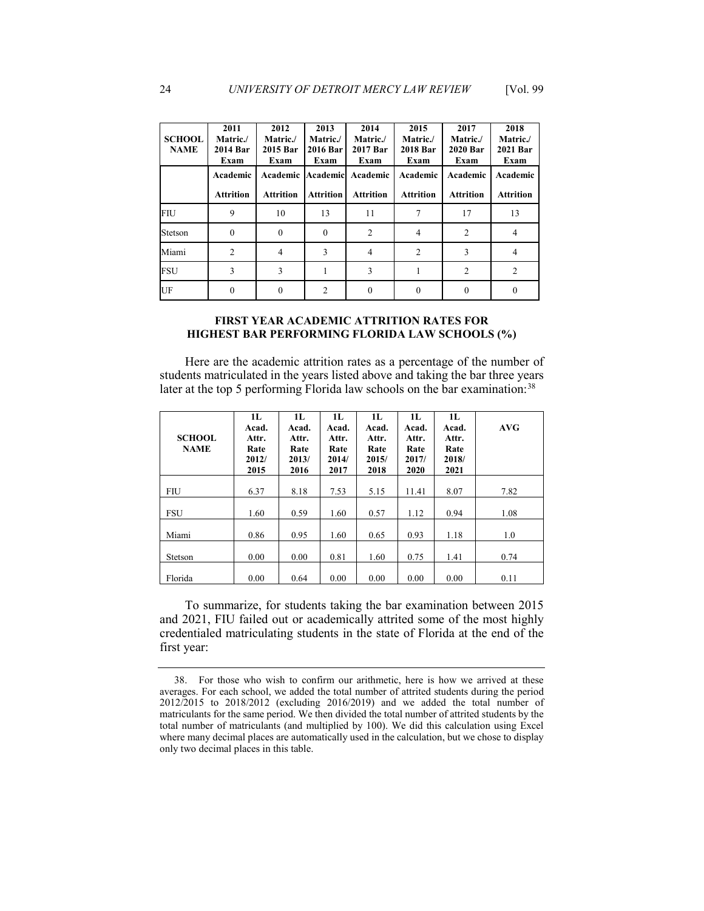| <b>SCHOOL</b><br><b>NAME</b> | 2011<br>Matric./<br>2014 Bar<br>Exam | 2012<br>Matric./<br>2015 Bar<br>Exam | 2013<br>Matric./<br>2016 Bar<br>Exam | 2014<br>Matric./<br>2017 Bar<br>Exam | 2015<br>Matric./<br><b>2018 Bar</b><br>Exam | 2017<br>Matric./<br><b>2020 Bar</b><br>Exam | 2018<br>Matric./<br>2021 Bar<br>Exam |
|------------------------------|--------------------------------------|--------------------------------------|--------------------------------------|--------------------------------------|---------------------------------------------|---------------------------------------------|--------------------------------------|
|                              | Academic                             | Academic                             |                                      | Academic Academic                    | Academic                                    | Academic                                    | Academic                             |
|                              | <b>Attrition</b>                     | <b>Attrition</b>                     | <b>Attrition</b>                     | <b>Attrition</b>                     | <b>Attrition</b>                            | <b>Attrition</b>                            | <b>Attrition</b>                     |
| FIU                          | 9                                    | 10                                   | 13                                   | 11                                   |                                             | 17                                          | 13                                   |
| Stetson                      | $\Omega$                             | 0                                    | $\theta$                             | $\overline{c}$                       | 4                                           | $\overline{2}$                              | 4                                    |
| Miami                        | $\overline{2}$                       | 4                                    | 3                                    | 4                                    | $\overline{2}$                              | 3                                           | 4                                    |
| FSU                          | 3                                    | 3                                    |                                      | 3                                    |                                             | $\overline{2}$                              | $\overline{2}$                       |
| UF                           | $\theta$                             | 0                                    | $\overline{2}$                       | 0                                    |                                             | 0                                           | 0                                    |
|                              |                                      |                                      |                                      |                                      |                                             |                                             |                                      |

#### **FIRST YEAR ACADEMIC ATTRITION RATES FOR HIGHEST BAR PERFORMING FLORIDA LAW SCHOOLS (%)**

 Here are the academic attrition rates as a percentage of the number of students matriculated in the years listed above and taking the bar three years later at the top 5 performing Florida law schools on the bar examination:  $38$ 

| <b>SCHOOL</b><br><b>NAME</b> | 1L<br>Acad.<br>Attr.<br>Rate<br>2012/<br>2015 | 1L<br>Acad.<br>Attr.<br>Rate<br>2013/<br>2016 | 1L<br>Acad.<br>Attr.<br>Rate<br>2014/<br>2017 | 1L<br>Acad.<br>Attr.<br>Rate<br>2015/<br>2018 | 1L<br>Acad.<br>Attr.<br>Rate<br>2017/<br>2020 | 1L<br>Acad.<br>Attr.<br>Rate<br>2018/<br>2021 | AVG  |
|------------------------------|-----------------------------------------------|-----------------------------------------------|-----------------------------------------------|-----------------------------------------------|-----------------------------------------------|-----------------------------------------------|------|
| <b>FIU</b>                   | 6.37                                          | 8.18                                          | 7.53                                          | 5.15                                          | 11.41                                         | 8.07                                          | 7.82 |
| <b>FSU</b>                   | 1.60                                          | 0.59                                          | 1.60                                          | 0.57                                          | 1.12                                          | 0.94                                          | 1.08 |
| Miami                        | 0.86                                          | 0.95                                          | 1.60                                          | 0.65                                          | 0.93                                          | 1.18                                          | 1.0  |
| Stetson                      | 0.00                                          | 0.00                                          | 0.81                                          | 1.60                                          | 0.75                                          | 1.41                                          | 0.74 |
| Florida                      | 0.00                                          | 0.64                                          | 0.00                                          | 0.00                                          | 0.00                                          | 0.00                                          | 0.11 |

 credentialed matriculating students in the state of Florida at the end of the To summarize, for students taking the bar examination between 2015 and 2021, FIU failed out or academically attrited some of the most highly first year:

<span id="page-18-0"></span> matriculants for the same period. We then divided the total number of attrited students by the where many decimal places are automatically used in the calculation, but we chose to display only two decimal places in this table. 38. For those who wish to confirm our arithmetic, here is how we arrived at these averages. For each school, we added the total number of attrited students during the period 2012/2015 to 2018/2012 (excluding 2016/2019) and we added the total number of total number of matriculants (and multiplied by 100). We did this calculation using Excel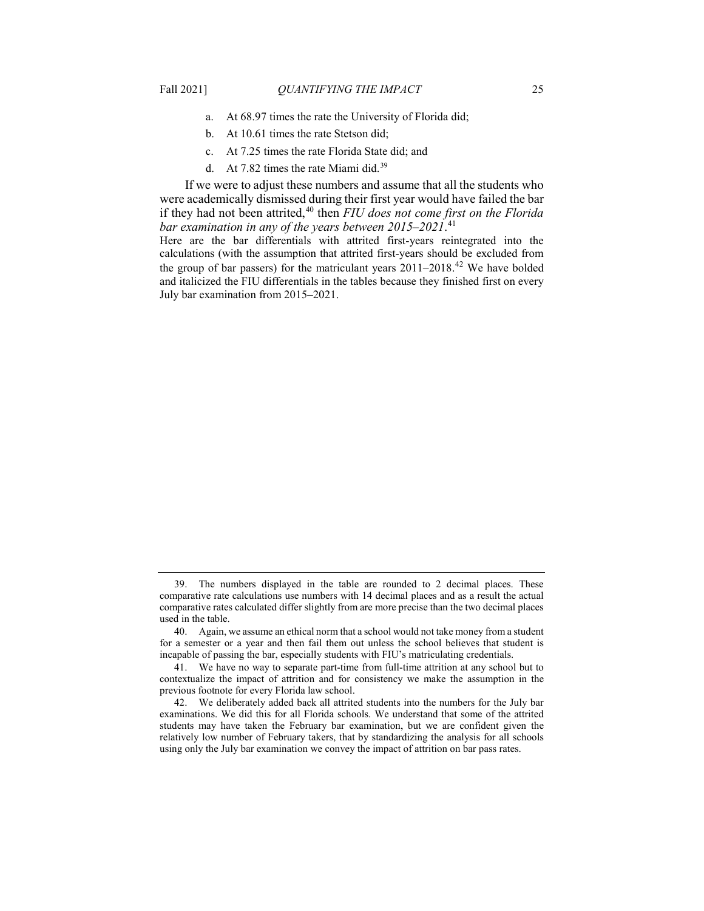- a. At 68.97 times the rate the University of Florida did;
- b. At 10.61 times the rate Stetson did;
- c. At 7.25 times the rate Florida State did; and
- d. At 7.82 times the rate Miami did.[39](#page-19-0)

 If we were to adjust these numbers and assume that all the students who were academically dismissed during their first year would have failed the bar if they had not been attrited,<sup>[40](#page-19-1)</sup> then *FIU does not come first on the Florida bar examination in any of the years between 2015–2021*. [41](#page-19-2) 

the group of bar passers) for the matriculant years  $2011-2018$ .<sup>[42](#page-19-3)</sup> We have bolded Here are the bar differentials with attrited first-years reintegrated into the calculations (with the assumption that attrited first-years should be excluded from and italicized the FIU differentials in the tables because they finished first on every July bar examination from 2015–2021.

<span id="page-19-0"></span><sup>39.</sup> The numbers displayed in the table are rounded to 2 decimal places. These comparative rate calculations use numbers with 14 decimal places and as a result the actual comparative rates calculated differ slightly from are more precise than the two decimal places used in the table.

<span id="page-19-1"></span> for a semester or a year and then fail them out unless the school believes that student is 40. Again, we assume an ethical norm that a school would not take money from a student incapable of passing the bar, especially students with FIU's matriculating credentials.

<span id="page-19-2"></span> contextualize the impact of attrition and for consistency we make the assumption in the 41. We have no way to separate part-time from full-time attrition at any school but to previous footnote for every Florida law school.

<span id="page-19-3"></span><sup>42.</sup> We deliberately added back all attrited students into the numbers for the July bar examinations. We did this for all Florida schools. We understand that some of the attrited students may have taken the February bar examination, but we are confident given the relatively low number of February takers, that by standardizing the analysis for all schools using only the July bar examination we convey the impact of attrition on bar pass rates.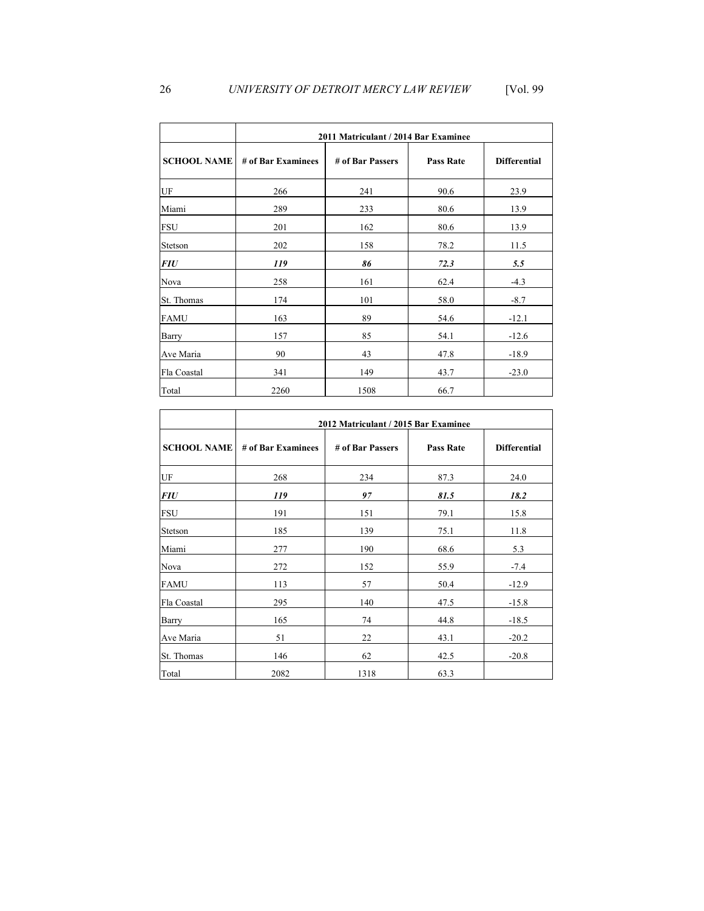|                    | 2011 Matriculant / 2014 Bar Examinee |                  |                  |                     |  |  |  |  |  |
|--------------------|--------------------------------------|------------------|------------------|---------------------|--|--|--|--|--|
| <b>SCHOOL NAME</b> | # of Bar Examinees                   | # of Bar Passers | <b>Pass Rate</b> | <b>Differential</b> |  |  |  |  |  |
| UF                 | 266                                  | 241              | 90.6             | 23.9                |  |  |  |  |  |
| Miami              | 289                                  | 233              | 80.6             | 13.9                |  |  |  |  |  |
| <b>FSU</b>         | 201                                  | 162              | 80.6             | 13.9                |  |  |  |  |  |
| Stetson            | 202                                  | 158              | 78.2             | 11.5                |  |  |  |  |  |
| <b>FIU</b>         | 119                                  | 86               | 72.3             | 5.5                 |  |  |  |  |  |
| Nova               | 258                                  | 161              | 62.4             | $-4.3$              |  |  |  |  |  |
| St. Thomas         | 174                                  | 101              | 58.0             | $-8.7$              |  |  |  |  |  |
| <b>FAMU</b>        | 163                                  | 89               | 54.6             | $-12.1$             |  |  |  |  |  |
| Barry              | 157                                  | 85               | 54.1             | $-12.6$             |  |  |  |  |  |
| Ave Maria          | 90                                   | 43               | 47.8             | $-18.9$             |  |  |  |  |  |
| Fla Coastal        | 341                                  | 149              | 43.7             | $-23.0$             |  |  |  |  |  |
| Total              | 2260                                 | 1508             | 66.7             |                     |  |  |  |  |  |

|                    | 2012 Matriculant / 2015 Bar Examinee |                  |                  |                     |  |
|--------------------|--------------------------------------|------------------|------------------|---------------------|--|
| <b>SCHOOL NAME</b> | # of Bar Examinees                   | # of Bar Passers | <b>Pass Rate</b> | <b>Differential</b> |  |
| UF                 | 268                                  | 234              | 87.3             | 24.0                |  |
| <b>FIU</b>         | 119                                  | 97               | 81.5             | 18.2                |  |
| <b>FSU</b>         | 191                                  | 151              | 79.1             | 15.8                |  |
| Stetson            | 185                                  | 139              | 75.1             | 11.8                |  |
| Miami              | 277                                  | 190              | 68.6             | 5.3                 |  |
| Nova               | 272                                  | 152              | 55.9             | $-7.4$              |  |
| <b>FAMU</b>        | 113                                  | 57               | 50.4             | $-12.9$             |  |
| Fla Coastal        | 295                                  | 140              | 47.5             | $-15.8$             |  |
| Barry              | 165                                  | 74               | 44.8             | $-18.5$             |  |
| Ave Maria          | 51                                   | 22               | 43.1             | $-20.2$             |  |
| St. Thomas         | 146                                  | 62               | 42.5             | $-20.8$             |  |
| Total              | 2082                                 | 1318             | 63.3             |                     |  |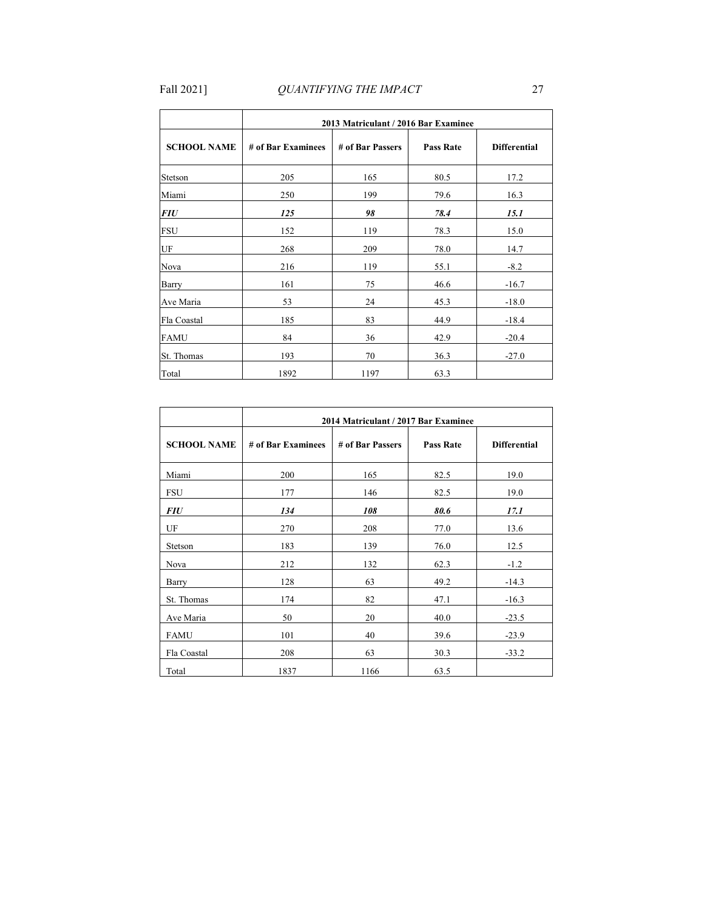|                    |                    | 2013 Matriculant / 2016 Bar Examinee |                  | <b>Differential</b> |  |  |  |
|--------------------|--------------------|--------------------------------------|------------------|---------------------|--|--|--|
| <b>SCHOOL NAME</b> | # of Bar Examinees | # of Bar Passers                     | <b>Pass Rate</b> |                     |  |  |  |
| Stetson            | 205                | 165                                  | 80.5             | 17.2                |  |  |  |
| Miami              | 250                | 199                                  | 79.6             | 16.3                |  |  |  |
| <b>FIU</b>         | 125                | 98                                   | 78.4             | 15.1                |  |  |  |
| <b>FSU</b>         | 152                | 119                                  | 78.3             | 15.0                |  |  |  |
| UF                 | 268                | 209                                  | 78.0             | 14.7                |  |  |  |
| Nova               | 216                | 119                                  | 55.1             | $-8.2$              |  |  |  |
| Barry              | 161                | 75                                   | 46.6             | $-16.7$             |  |  |  |
| Ave Maria          | 53                 | 24                                   | 45.3             | $-18.0$             |  |  |  |
| Fla Coastal        | 185                | 83                                   | 44.9             | $-18.4$             |  |  |  |
| <b>FAMU</b>        | 84                 | 36                                   | 42.9             | $-20.4$             |  |  |  |
| St. Thomas         | 193                | 70                                   | 36.3             | $-27.0$             |  |  |  |
| Total              | 1892               | 1197                                 | 63.3             |                     |  |  |  |

|                    | 2014 Matriculant / 2017 Bar Examinee |                  |                  |                     |  |
|--------------------|--------------------------------------|------------------|------------------|---------------------|--|
| <b>SCHOOL NAME</b> | # of Bar Examinees                   | # of Bar Passers | <b>Pass Rate</b> | <b>Differential</b> |  |
| Miami              | 200                                  | 165              | 82.5             | 19.0                |  |
| <b>FSU</b>         | 177                                  | 146              | 82.5             | 19.0                |  |
| <b>FIU</b>         | 134                                  | 108              | 80.6             | 17.1                |  |
| UF                 | 270                                  | 208              | 77.0             | 13.6                |  |
| Stetson            | 183                                  | 139              | 76.0             | 12.5                |  |
| Nova               | 212                                  | 132              | 62.3             | $-1.2$              |  |
| Barry              | 128                                  | 63               | 49.2             | $-14.3$             |  |
| St. Thomas         | 174                                  | 82               | 47.1             | $-16.3$             |  |
| Ave Maria          | 50                                   | 20               | 40.0             | $-23.5$             |  |
| <b>FAMU</b>        | 101                                  | 40               | 39.6             | $-23.9$             |  |
| Fla Coastal        | 208                                  | 63               | 30.3             | $-33.2$             |  |
| Total              | 1837                                 | 1166             | 63.5             |                     |  |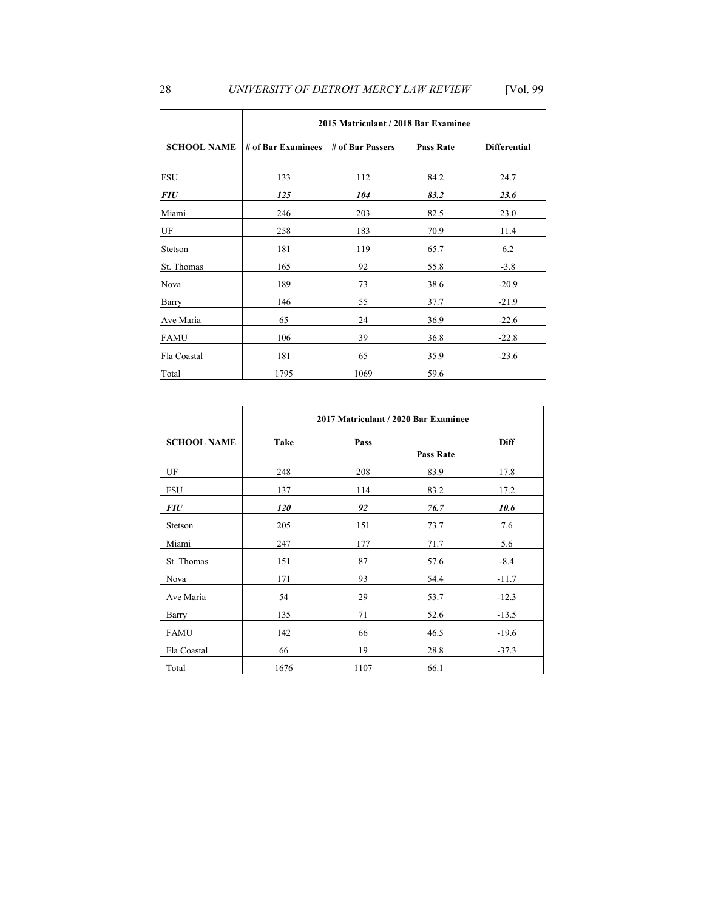## 28 *UNIVERSITY OF DETROIT MERCY LAW REVIEW* [Vol. 99

|                            | 2015 Matriculant / 2018 Bar Examinee   |      |                  |                     |  |
|----------------------------|----------------------------------------|------|------------------|---------------------|--|
| <b>SCHOOL NAME</b>         | # of Bar Examinees<br># of Bar Passers |      | <b>Pass Rate</b> | <b>Differential</b> |  |
| <b>FSU</b>                 | 133                                    | 112  | 84.2             | 24.7                |  |
| <b>FIU</b>                 | 125                                    | 104  | 83.2             | 23.6                |  |
| Miami                      | 246                                    | 203  | 82.5             | 23.0                |  |
| $\ensuremath{\mathsf{UF}}$ | 258                                    | 183  | 70.9             | 11.4                |  |
| Stetson                    | 181                                    | 119  | 65.7             | 6.2                 |  |
| St. Thomas                 | 165                                    | 92   | 55.8             | $-3.8$              |  |
| Nova                       | 189                                    | 73   | 38.6             | $-20.9$             |  |
| Barry                      | 146                                    | 55   | 37.7             | $-21.9$             |  |
| Ave Maria                  | 65                                     | 24   | 36.9             | $-22.6$             |  |
| <b>FAMU</b>                | 106                                    | 39   | 36.8             | $-22.8$             |  |
| Fla Coastal                | 181                                    | 65   | 35.9             | $-23.6$             |  |
| Total                      | 1795                                   | 1069 | 59.6             |                     |  |

|                    | 2017 Matriculant / 2020 Bar Examinee |      |                  |         |  |
|--------------------|--------------------------------------|------|------------------|---------|--|
| <b>SCHOOL NAME</b> | Take                                 | Pass | <b>Pass Rate</b> |         |  |
| UF                 | 248                                  | 208  | 83.9             | 17.8    |  |
| <b>FSU</b>         | 137                                  | 114  | 83.2             | 17.2    |  |
| <b>FIU</b>         | 120                                  | 92   | 76.7             | 10.6    |  |
| Stetson            | 205                                  | 151  | 73.7             | 7.6     |  |
| Miami              | 247                                  | 177  | 71.7             | 5.6     |  |
| St. Thomas         | 151                                  | 87   | 57.6             | $-8.4$  |  |
| Nova               | 171                                  | 93   | 54.4             | $-11.7$ |  |
| Ave Maria          | 54                                   | 29   | 53.7             | $-12.3$ |  |
| Barry              | 135                                  | 71   | 52.6             | $-13.5$ |  |
| <b>FAMU</b>        | 142                                  | 66   | 46.5             | $-19.6$ |  |
| Fla Coastal        | 66                                   | 19   | 28.8             | $-37.3$ |  |
| Total              | 1676                                 | 1107 | 66.1             |         |  |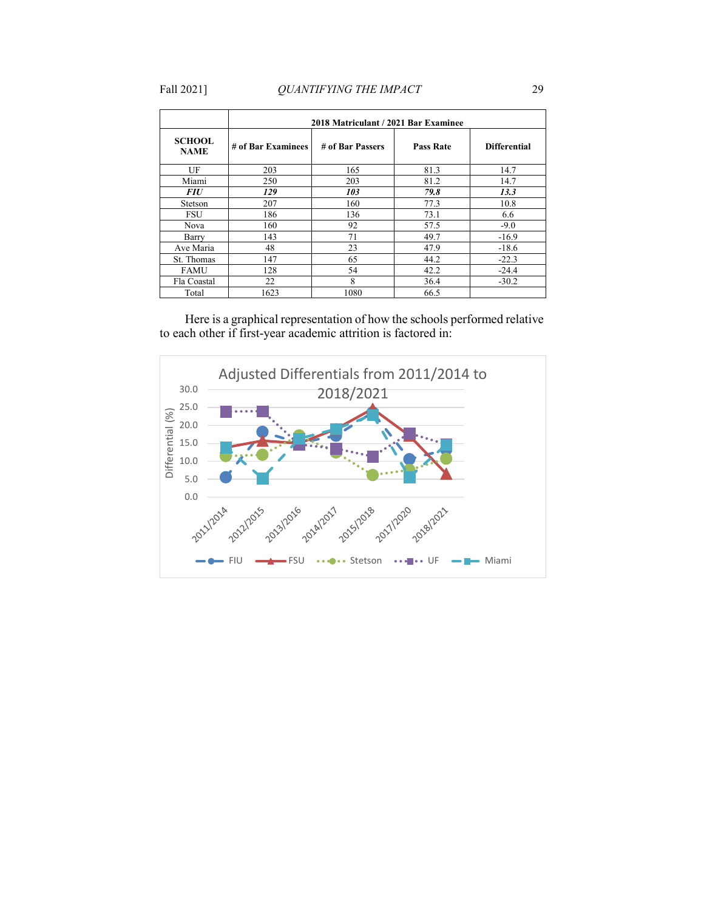|                              | 2018 Matriculant / 2021 Bar Examinee |                  |                  |                     |  |
|------------------------------|--------------------------------------|------------------|------------------|---------------------|--|
| <b>SCHOOL</b><br><b>NAME</b> | # of Bar Examinees                   | # of Bar Passers | <b>Pass Rate</b> | <b>Differential</b> |  |
| UF                           | 203                                  | 165              | 81.3             | 14.7                |  |
| Miami                        | 250                                  | 203              | 81.2             | 14.7                |  |
| <i>FIU</i>                   | 129                                  | 103              | 79.8             | 13.3                |  |
| Stetson                      | 207                                  | 160              | 77.3             | 10.8                |  |
| FSU                          | 186                                  | 136              | 73.1             | 6.6                 |  |
| <b>Nova</b>                  | 160                                  | 92               | 57.5             | $-9.0$              |  |
| Barry                        | 143                                  | 71               | 49.7             | $-16.9$             |  |
| Ave Maria                    | 48                                   | 23               | 47.9             | $-18.6$             |  |
| St. Thomas                   | 147                                  | 65               | 44.2             | $-22.3$             |  |
| <b>FAMU</b>                  | 128                                  | 54               | 42.2             | $-24.4$             |  |
| Fla Coastal                  | 22                                   | 8                | 36.4             | $-30.2$             |  |
| Total                        | 1623                                 | 1080             | 66.5             |                     |  |

Here is a graphical representation of how the schools performed relative to each other if first-year academic attrition is factored in:

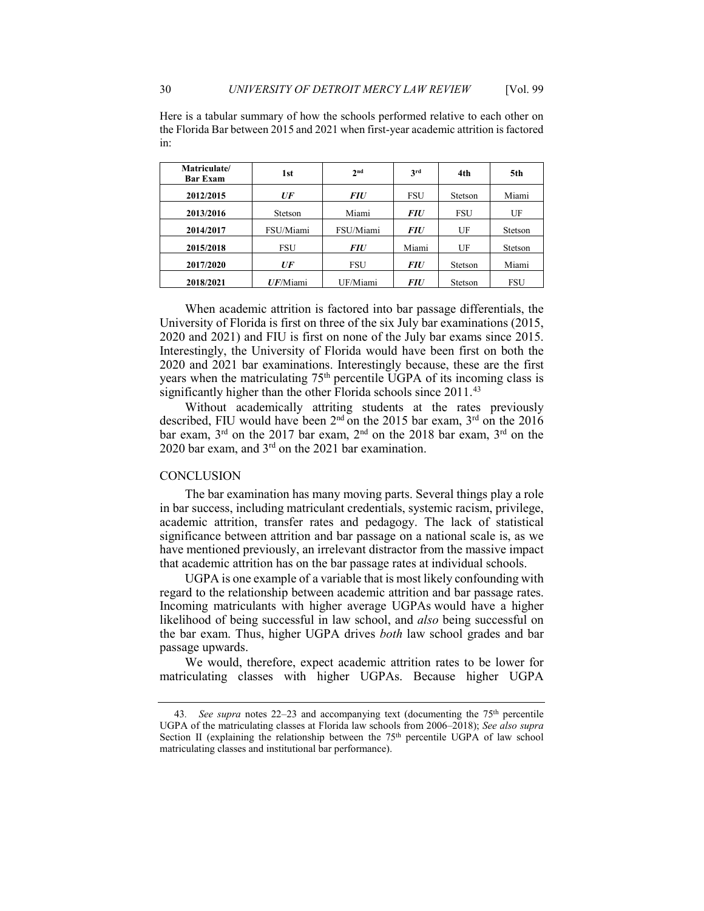| Matriculate/<br><b>Bar Exam</b> | 1st             | 2 <sup>nd</sup> | 3rd        | 4th        | 5th        |
|---------------------------------|-----------------|-----------------|------------|------------|------------|
| 2012/2015                       | $U\overline{F}$ | <i>FIU</i>      | FSU        | Stetson    | Miami      |
| 2013/2016                       | Stetson         | Miami           | <i>FIU</i> | <b>FSU</b> | UF         |
| 2014/2017                       | FSU/Miami       | FSU/Miami       | <i>FIU</i> | UF         | Stetson    |
| 2015/2018                       | <b>FSU</b>      | <i>FIU</i>      | Miami      | UF         | Stetson    |
| 2017/2020                       | UF              | <b>FSU</b>      | <i>FIU</i> | Stetson    | Miami      |
| 2018/2021                       | UF/Miami        | UF/Miami        | <i>FIU</i> | Stetson    | <b>FSU</b> |

Here is a tabular summary of how the schools performed relative to each other on the Florida Bar between 2015 and 2021 when first-year academic attrition is factored in:

 When academic attrition is factored into bar passage differentials, the University of Florida is first on three of the six July bar examinations (2015, 2020 and 2021) and FIU is first on none of the July bar exams since 2015. 2020 and 2021 bar examinations. Interestingly because, these are the first years when the matriculating 75<sup>th</sup> percentile UGPA of its incoming class is significantly higher than the other Florida schools since 2011.<sup>43</sup> Interestingly, the University of Florida would have been first on both the

Without academically attriting students at the rates previously described, FIU would have been  $2<sup>nd</sup>$  on the 2015 bar exam,  $3<sup>rd</sup>$  on the 2016 bar exam, 3<sup>rd</sup> on the 2017 bar exam, 2<sup>nd</sup> on the 2018 bar exam, 3<sup>rd</sup> on the 2020 bar exam, and 3rd on the 2021 bar examination.

#### **CONCLUSION**

 The bar examination has many moving parts. Several things play a role have mentioned previously, an irrelevant distractor from the massive impact in bar success, including matriculant credentials, systemic racism, privilege, academic attrition, transfer rates and pedagogy. The lack of statistical significance between attrition and bar passage on a national scale is, as we that academic attrition has on the bar passage rates at individual schools.

 the bar exam. Thus, higher UGPA drives *both* law school grades and bar UGPA is one example of a variable that is most likely confounding with regard to the relationship between academic attrition and bar passage rates. Incoming matriculants with higher average UGPAs would have a higher likelihood of being successful in law school, and *also* being successful on passage upwards.

 We would, therefore, expect academic attrition rates to be lower for matriculating classes with higher UGPAs. Because higher UGPA

<span id="page-24-0"></span><sup>43</sup>*. See supra* notes [22](#page-12-3)[–23](#page-13-2) and accompanying text (documenting the 75th percentile UGPA of the matriculating classes at Florida law schools from 2006–2018); *See also supra*  Section II (explaining the relationship between the  $75<sup>th</sup>$  percentile UGPA of law school matriculating classes and institutional bar performance).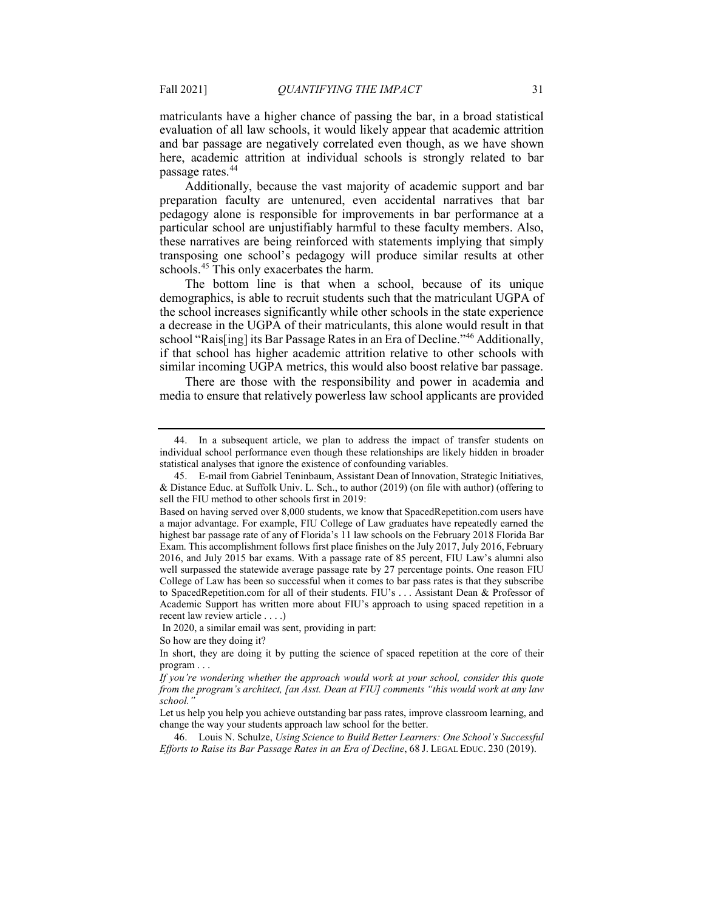evaluation of all law schools, it would likely appear that academic attrition here, academic attrition at individual schools is strongly related to bar matriculants have a higher chance of passing the bar, in a broad statistical and bar passage are negatively correlated even though, as we have shown passage rates.<sup>44</sup>

 Additionally, because the vast majority of academic support and bar particular school are unjustifiably harmful to these faculty members. Also, transposing one school's pedagogy will produce similar results at other preparation faculty are untenured, even accidental narratives that bar pedagogy alone is responsible for improvements in bar performance at a these narratives are being reinforced with statements implying that simply schools.<sup>[45](#page-25-1)</sup> This only exacerbates the harm.

 The bottom line is that when a school, because of its unique demographics, is able to recruit students such that the matriculant UGPA of the school increases significantly while other schools in the state experience a decrease in the UGPA of their matriculants, this alone would result in that school "Rais[ing] its Bar Passage Rates in an Era of Decline."<sup>46</sup> Additionally, if that school has higher academic attrition relative to other schools with similar incoming UGPA metrics, this would also boost relative bar passage.

There are those with the responsibility and power in academia and media to ensure that relatively powerless law school applicants are provided

<span id="page-25-0"></span><sup>44.</sup> In a subsequent article, we plan to address the impact of transfer students on individual school performance even though these relationships are likely hidden in broader statistical analyses that ignore the existence of confounding variables.

<span id="page-25-1"></span><sup>45.</sup> E-mail from Gabriel Teninbaum, Assistant Dean of Innovation, Strategic Initiatives, & Distance Educ. at Suffolk Univ. L. Sch., to author (2019) (on file with author) (offering to sell the FIU method to other schools first in 2019:

 highest bar passage rate of any of Florida's 11 law schools on the February 2018 Florida Bar to [SpacedRepetition.com](https://SpacedRepetition.com) for all of their students. FIU's . . . Assistant Dean & Professor of Academic Support has written more about FIU's approach to using spaced repetition in a recent law review article . . . .) Based on having served over 8,000 students, we know that [SpacedRepetition.com](https://SpacedRepetition.com) users have a major advantage. For example, FIU College of Law graduates have repeatedly earned the Exam. This accomplishment follows first place finishes on the July 2017, July 2016, February 2016, and July 2015 bar exams. With a passage rate of 85 percent, FIU Law's alumni also well surpassed the statewide average passage rate by 27 percentage points. One reason FIU College of Law has been so successful when it comes to bar pass rates is that they subscribe

In 2020, a similar email was sent, providing in part:

So how are they doing it?

 program . . . In short, they are doing it by putting the science of spaced repetition at the core of their

*If you're wondering whether the approach would work at your school, consider this quote from the program's architect, [an Asst. Dean at FIU] comments "this would work at any law school."* 

Let us help you help you achieve outstanding bar pass rates, improve classroom learning, and change the way your students approach law school for the better.

<span id="page-25-2"></span> *Efforts to Raise its Bar Passage Rates in an Era of Decline*, 68 J. LEGAL EDUC. 230 (2019). 46. Louis N. Schulze, *Using Science to Build Better Learners: One School's Successful*